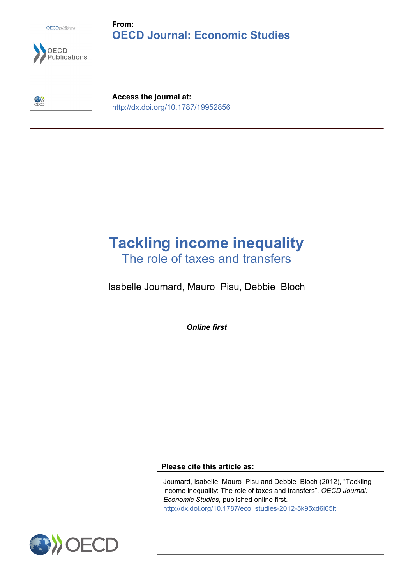

# **Tackling income inequality** The role of taxes and transfers

Isabelle Joumard, Mauro Pisu, Debbie Bloch

*Online first*

**Please cite this article as:**

Joumard, Isabelle, Mauro Pisu and Debbie Bloch (2012), "Tackling income inequality: The role of taxes and transfers", *OECD Journal: Economic Studies*, published online first. [http://dx.doi.org/10.1787/eco\\_studies-2012-5k95xd6l65lt](http://dx.doi.org/10.1787/eco_studies-2012-5k95xd6l65lt)

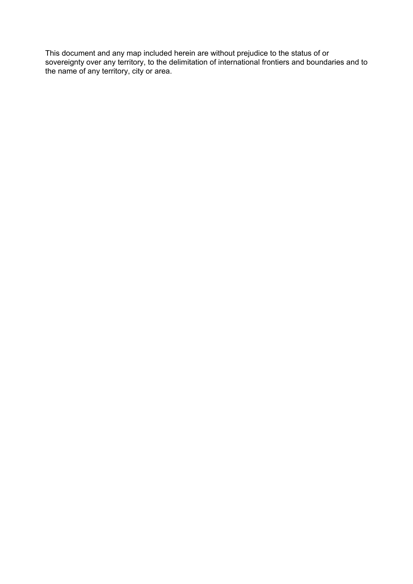This document and any map included herein are without prejudice to the status of or sovereignty over any territory, to the delimitation of international frontiers and boundaries and to the name of any territory, city or area.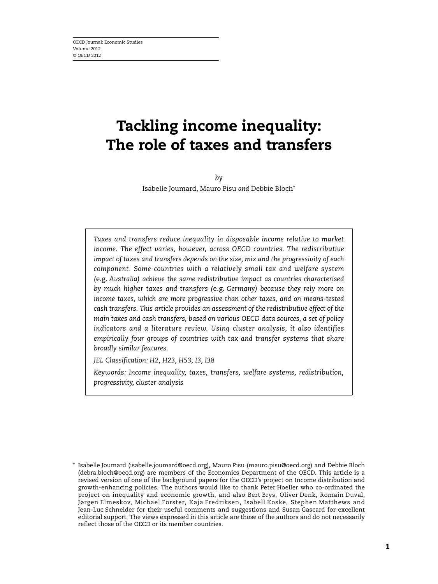# **Tackling income inequality: The role of taxes and transfers**

*by* Isabelle Joumard, Mauro Pisu *and* Debbie Bloch\*

*Taxes and transfers reduce inequality in disposable income relative to market income. The effect varies, however, across OECD countries. The redistributive impact of taxes and transfers depends on the size, mix and the progressivity of each component. Some countries with a relatively small tax and welfare system (*e.g. *Australia) achieve the same redistributive impact as countries characterised by much higher taxes and transfers (*e.g. *Germany) because they rely more on income taxes, which are more progressive than other taxes, and on means-tested cash transfers. This article provides an assessment of the redistributive effect of the main taxes and cash transfers, based on various OECD data sources, a set of policy indicators and a literature review. Using cluster analysis, it also identifies empirically four groups of countries with tax and transfer systems that share broadly similar features.*

*JEL Classification: H2, H23, H53, I3, I38*

*Keywords: Income inequality, taxes, transfers, welfare systems, redistribution, progressivity, cluster analysis*

<sup>\*</sup> Isabelle Joumard (isabelle.joumard@oecd.org), Mauro Pisu (mauro.pisu@oecd.org) and Debbie Bloch (debra.bloch@oecd.org) are members of the Economics Department of the OECD. This article is a revised version of one of the background papers for the OECD's project on Income distribution and growth-enhancing policies. The authors would like to thank Peter Hoeller who co-ordinated the project on inequality and economic growth, and also Bert Brys, Oliver Denk, Romain Duval, Jørgen Elmeskov, Michael Förster, Kaja Fredriksen, Isabell Koske, Stephen Matthews and Jean-Luc Schneider for their useful comments and suggestions and Susan Gascard for excellent editorial support. The views expressed in this article are those of the authors and do not necessarily reflect those of the OECD or its member countries.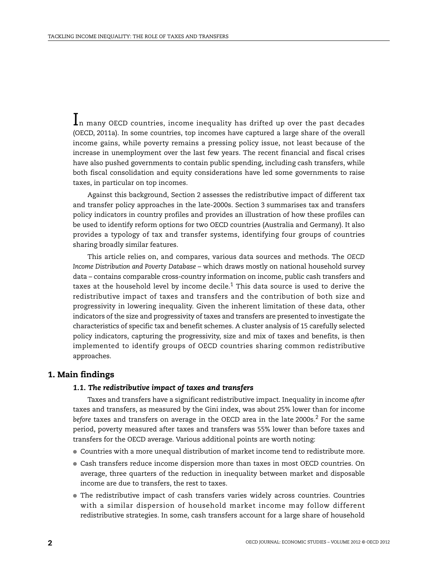$\mathbf{l}_n$  many OECD countries, income inequality has drifted up over the past decades (OECD, 2011a). In some countries, top incomes have captured a large share of the overall income gains, while poverty remains a pressing policy issue, not least because of the increase in unemployment over the last few years. The recent financial and fiscal crises have also pushed governments to contain public spending, including cash transfers, while both fiscal consolidation and equity considerations have led some governments to raise taxes, in particular on top incomes.

Against this background, Section 2 assesses the redistributive impact of different tax and transfer policy approaches in the late-2000s. Section 3 summarises tax and transfers policy indicators in country profiles and provides an illustration of how these profiles can be used to identify reform options for two OECD countries (Australia and Germany). It also provides a typology of tax and transfer systems, identifying four groups of countries sharing broadly similar features.

This article relies on, and compares, various data sources and methods. The *OECD Income Distribution and Poverty Database* – which draws mostly on national household survey data – contains comparable cross-country information on income, public cash transfers and taxes at the household level by income decile.<sup>1</sup> This data source is used to derive the redistributive impact of taxes and transfers and the contribution of both size and progressivity in lowering inequality. Given the inherent limitation of these data, other indicators of the size and progressivity of taxes and transfers are presented to investigate the characteristics of specific tax and benefit schemes. A cluster analysis of 15 carefully selected policy indicators, capturing the progressivity, size and mix of taxes and benefits, is then implemented to identify groups of OECD countries sharing common redistributive approaches.

## **1. Main findings**

## *1.1. The redistributive impact of taxes and transfers*

Taxes and transfers have a significant redistributive impact. Inequality in income *after* taxes and transfers, as measured by the Gini index, was about 25% lower than for income *before* taxes and transfers on average in the OECD area in the late 2000s.<sup>2</sup> For the same period, poverty measured after taxes and transfers was 55% lower than before taxes and transfers for the OECD average. Various additional points are worth noting:

- Countries with a more unequal distribution of market income tend to redistribute more.
- Cash transfers reduce income dispersion more than taxes in most OECD countries. On average, three quarters of the reduction in inequality between market and disposable income are due to transfers, the rest to taxes.
- The redistributive impact of cash transfers varies widely across countries. Countries with a similar dispersion of household market income may follow different redistributive strategies. In some, cash transfers account for a large share of household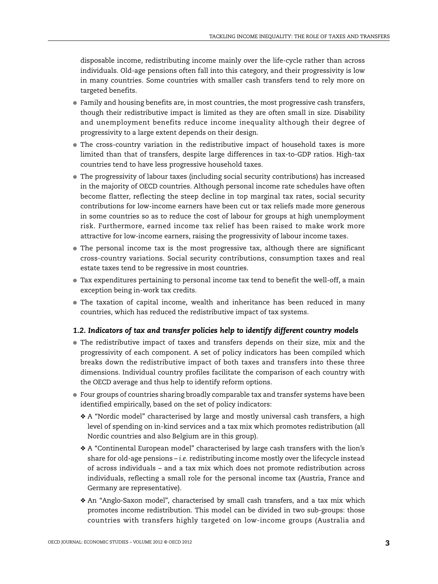disposable income, redistributing income mainly over the life-cycle rather than across individuals. Old-age pensions often fall into this category, and their progressivity is low in many countries. Some countries with smaller cash transfers tend to rely more on targeted benefits.

- Family and housing benefits are, in most countries, the most progressive cash transfers, though their redistributive impact is limited as they are often small in size. Disability and unemployment benefits reduce income inequality although their degree of progressivity to a large extent depends on their design.
- The cross-country variation in the redistributive impact of household taxes is more limited than that of transfers, despite large differences in tax-to-GDP ratios. High-tax countries tend to have less progressive household taxes.
- The progressivity of labour taxes (including social security contributions) has increased in the majority of OECD countries. Although personal income rate schedules have often become flatter, reflecting the steep decline in top marginal tax rates, social security contributions for low-income earners have been cut or tax reliefs made more generous in some countries so as to reduce the cost of labour for groups at high unemployment risk. Furthermore, earned income tax relief has been raised to make work more attractive for low-income earners, raising the progressivity of labour income taxes.
- The personal income tax is the most progressive tax, although there are significant cross-country variations. Social security contributions, consumption taxes and real estate taxes tend to be regressive in most countries.
- Tax expenditures pertaining to personal income tax tend to benefit the well-off, a main exception being in-work tax credits.
- The taxation of capital income, wealth and inheritance has been reduced in many countries, which has reduced the redistributive impact of tax systems.

#### *1.2. Indicators of tax and transfer policies help to identify different country models*

- The redistributive impact of taxes and transfers depends on their size, mix and the progressivity of each component. A set of policy indicators has been compiled which breaks down the redistributive impact of both taxes and transfers into these three dimensions. Individual country profiles facilitate the comparison of each country with the OECD average and thus help to identify reform options.
- Four groups of countries sharing broadly comparable tax and transfer systems have been identified empirically, based on the set of policy indicators:
	- ❖ A "Nordic model" characterised by large and mostly universal cash transfers, a high level of spending on in-kind services and a tax mix which promotes redistribution (all Nordic countries and also Belgium are in this group).
	- ❖ A "Continental European model" characterised by large cash transfers with the lion's share for old-age pensions – *i.e.* redistributing income mostly over the lifecycle instead of across individuals – and a tax mix which does not promote redistribution across individuals, reflecting a small role for the personal income tax (Austria, France and Germany are representative).
	- ❖ An "Anglo-Saxon model", characterised by small cash transfers, and a tax mix which promotes income redistribution. This model can be divided in two sub-groups: those countries with transfers highly targeted on low-income groups (Australia and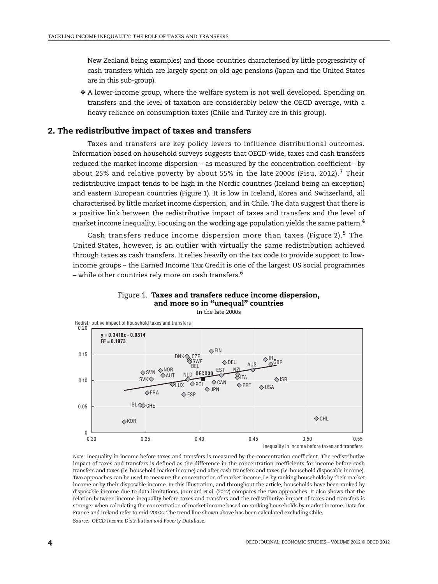New Zealand being examples) and those countries characterised by little progressivity of cash transfers which are largely spent on old-age pensions (Japan and the United States are in this sub-group).

❖ A lower-income group, where the welfare system is not well developed. Spending on transfers and the level of taxation are considerably below the OECD average, with a heavy reliance on consumption taxes (Chile and Turkey are in this group).

## **2. The redistributive impact of taxes and transfers**

Taxes and transfers are key policy levers to influence distributional outcomes. Information based on household surveys suggests that OECD-wide, taxes and cash transfers reduced the market income dispersion – as measured by the concentration coefficient – by about 25% and relative poverty by about 55% in the late 2000s (Pisu, 2012).<sup>3</sup> Their redistributive impact tends to be high in the Nordic countries (Iceland being an exception) and eastern European countries [\(Figure 1](#page-5-0)). It is low in Iceland, Korea and Switzerland, all characterised by little market income dispersion, and in Chile. The data suggest that there is a positive link between the redistributive impact of taxes and transfers and the level of market income inequality. Focusing on the working age population yields the same pattern.<sup>4</sup>

Cash transfers reduce income dispersion more than taxes ([Figure 2\)](#page-6-0).<sup>5</sup> The United States, however, is an outlier with virtually the same redistribution achieved through taxes as cash transfers. It relies heavily on the tax code to provide support to lowincome groups – the Earned Income Tax Credit is one of the largest US social programmes – while other countries rely more on cash transfers.<sup>6</sup>



<span id="page-5-0"></span>

*Note:* Inequality in income before taxes and transfers is measured by the concentration coefficient. The redistributive impact of taxes and transfers is defined as the difference in the concentration coefficients for income before cash transfers and taxes (*i.e.* household market income) and after cash transfers and taxes (*i.e.* household disposable income). Two approaches can be used to measure the concentration of market income, *i.e.* by ranking households by their market income or by their disposable income. In this illustration, and throughout the article, households have been ranked by disposable income due to data limitations. Joumard *et al.* (2012) compares the two approaches. It also shows that the relation between income inequality before taxes and transfers and the redistributive impact of taxes and transfers is stronger when calculating the concentration of market income based on ranking households by market income. Data for France and Ireland refer to mid-2000s. The trend line shown above has been calculated excluding Chile. *Source: OECD Income Distribution and Poverty Database*.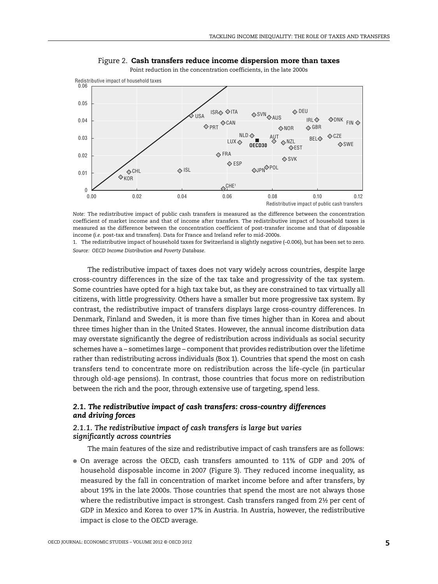<span id="page-6-0"></span>

Figure 2. **Cash transfers reduce income dispersion more than taxes**

Point reduction in the concentration coefficients, in the late 2000s

*Note:* The redistributive impact of public cash transfers is measured as the difference between the concentration coefficient of market income and that of income after transfers. The redistributive impact of household taxes is measured as the difference between the concentration coefficient of post-transfer income and that of disposable income (*i.e.* post-tax and transfers). Data for France and Ireland refer to mid-2000s.

1. The redistributive impact of household taxes for Switzerland is slightly negative (–0.006), but has been set to zero. *Source: OECD Income Distribution and Poverty Database*.

The redistributive impact of taxes does not vary widely across countries, despite large cross-country differences in the size of the tax take and progressivity of the tax system. Some countries have opted for a high tax take but, as they are constrained to tax virtually all citizens, with little progressivity. Others have a smaller but more progressive tax system. By contrast, the redistributive impact of transfers displays large cross-country differences. In Denmark, Finland and Sweden, it is more than five times higher than in Korea and about three times higher than in the United States. However, the annual income distribution data may overstate significantly the degree of redistribution across individuals as social security schemes have a – sometimes large – component that provides redistribution over the lifetime rather than redistributing across individuals [\(Box 1](#page-7-0)). Countries that spend the most on cash transfers tend to concentrate more on redistribution across the life-cycle (in particular through old-age pensions). In contrast, those countries that focus more on redistribution between the rich and the poor, through extensive use of targeting, spend less.

## *2.1. The redistributive impact of cash transfers: cross-country differences and driving forces*

## *2.1.1. The redistributive impact of cash transfers is large but varies significantly across countries*

The main features of the size and redistributive impact of cash transfers are as follows:

● On average across the OECD, cash transfers amounted to 11% of GDP and 20% of household disposable income in 2007 [\(Figure 3\)](#page-8-0). They reduced income inequality, as measured by the fall in concentration of market income before and after transfers, by about 19% in the late 2000s. Those countries that spend the most are not always those where the redistributive impact is strongest. Cash transfers ranged from 2½ per cent of GDP in Mexico and Korea to over 17% in Austria. In Austria, however, the redistributive impact is close to the OECD average.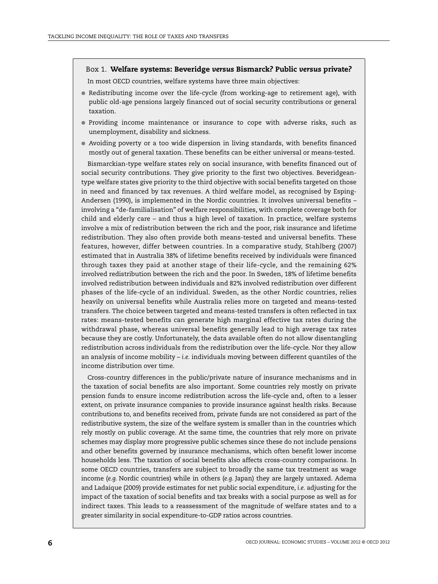#### <span id="page-7-0"></span>Box 1. **Welfare systems: Beveridge** *versus* **Bismarck? Public** *versus* **private?**

In most OECD countries, welfare systems have three main objectives:

- Redistributing income over the life-cycle (from working-age to retirement age), with public old-age pensions largely financed out of social security contributions or general taxation.
- Providing income maintenance or insurance to cope with adverse risks, such as unemployment, disability and sickness.
- Avoiding poverty or a too wide dispersion in living standards, with benefits financed mostly out of general taxation. These benefits can be either universal or means-tested.

Bismarckian-type welfare states rely on social insurance, with benefits financed out of social security contributions. They give priority to the first two objectives. Beveridgeantype welfare states give priority to the third objective with social benefits targeted on those in need and financed by tax revenues. A third welfare model, as recognised by Esping-Andersen (1990), is implemented in the Nordic countries. It involves universal benefits – involving a "de-familialisation" of welfare responsibilities, with complete coverage both for child and elderly care – and thus a high level of taxation. In practice, welfare systems involve a mix of redistribution between the rich and the poor, risk insurance and lifetime redistribution. They also often provide both means-tested and universal benefits. These features, however, differ between countries. In a comparative study, Stahlberg (2007) estimated that in Australia 38% of lifetime benefits received by individuals were financed through taxes they paid at another stage of their life-cycle, and the remaining 62% involved redistribution between the rich and the poor. In Sweden, 18% of lifetime benefits involved redistribution between individuals and 82% involved redistribution over different phases of the life-cycle of an individual. Sweden, as the other Nordic countries, relies heavily on universal benefits while Australia relies more on targeted and means-tested transfers. The choice between targeted and means-tested transfers is often reflected in tax rates: means-tested benefits can generate high marginal effective tax rates during the withdrawal phase, whereas universal benefits generally lead to high average tax rates because they are costly. Unfortunately, the data available often do not allow disentangling redistribution across individuals from the redistribution over the life-cycle. Nor they allow an analysis of income mobility – *i.e.* individuals moving between different quantiles of the income distribution over time.

Cross-country differences in the public/private nature of insurance mechanisms and in the taxation of social benefits are also important. Some countries rely mostly on private pension funds to ensure income redistribution across the life-cycle and, often to a lesser extent, on private insurance companies to provide insurance against health risks. Because contributions to, and benefits received from, private funds are not considered as part of the redistributive system, the size of the welfare system is smaller than in the countries which rely mostly on public coverage. At the same time, the countries that rely more on private schemes may display more progressive public schemes since these do not include pensions and other benefits governed by insurance mechanisms, which often benefit lower income households less. The taxation of social benefits also affects cross-country comparisons. In some OECD countries, transfers are subject to broadly the same tax treatment as wage income (*e.g.* Nordic countries) while in others (*e.g.* Japan) they are largely untaxed. Adema and Ladaique (2009) provide estimates for net public social expenditure, *i.e.* adjusting for the impact of the taxation of social benefits and tax breaks with a social purpose as well as for indirect taxes. This leads to a reassessment of the magnitude of welfare states and to a greater similarity in social expenditure-to-GDP ratios across countries.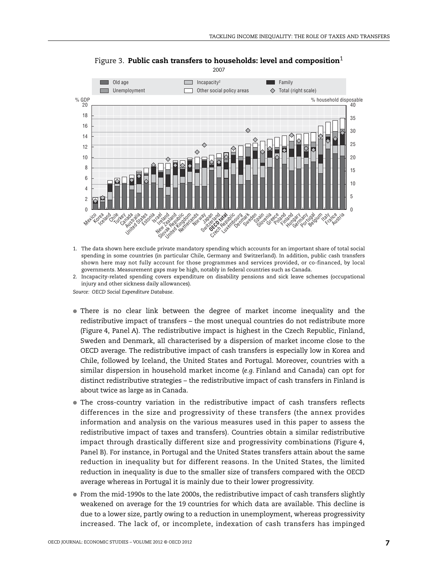<span id="page-8-0"></span>

Figure 3. **Public cash transfers to households: level and composition**<sup>1</sup>

1. The data shown here exclude private mandatory spending which accounts for an important share of total social spending in some countries (in particular Chile, Germany and Switzerland). In addition, public cash transfers shown here may not fully account for those programmes and services provided, or co-financed, by local governments. Measurement gaps may be high, notably in federal countries such as Canada.

2. Incapacity-related spending covers expenditure on disability pensions and sick leave schemes (occupational injury and other sickness daily allowances).

*Source: OECD Social Expenditure Database*.

- There is no clear link between the degree of market income inequality and the redistributive impact of transfers – the most unequal countries do not redistribute more [\(Figure 4,](#page-9-0) Panel A). The redistributive impact is highest in the Czech Republic, Finland, Sweden and Denmark, all characterised by a dispersion of market income close to the OECD average. The redistributive impact of cash transfers is especially low in Korea and Chile, followed by Iceland, the United States and Portugal. Moreover, countries with a similar dispersion in household market income (*e.g.* Finland and Canada) can opt for distinct redistributive strategies – the redistributive impact of cash transfers in Finland is about twice as large as in Canada.
- The cross-country variation in the redistributive impact of cash transfers reflects differences in the size and progressivity of these transfers (the annex provides information and analysis on the various measures used in this paper to assess the redistributive impact of taxes and transfers). Countries obtain a similar redistributive impact through drastically different size and progressivity combinations ([Figure 4](#page-9-0), Panel B). For instance, in Portugal and the United States transfers attain about the same reduction in inequality but for different reasons. In the United States, the limited reduction in inequality is due to the smaller size of transfers compared with the OECD average whereas in Portugal it is mainly due to their lower progressivity.
- From the mid-1990s to the late 2000s, the redistributive impact of cash transfers slightly weakened on average for the 19 countries for which data are available. This decline is due to a lower size, partly owing to a reduction in unemployment, whereas progressivity increased. The lack of, or incomplete, indexation of cash transfers has impinged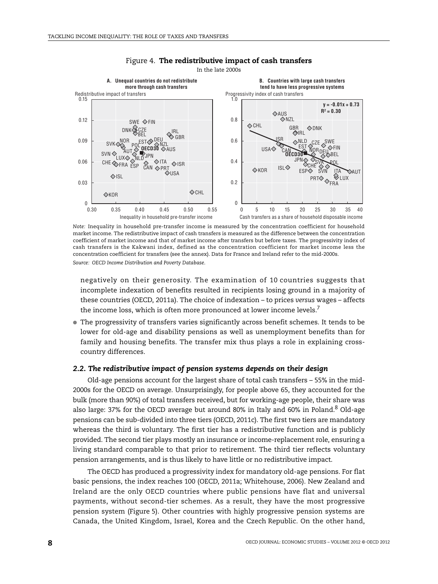<span id="page-9-0"></span>

#### Figure 4. **The redistributive impact of cash transfers** In the late 2000s

*Note:* Inequality in household pre-transfer income is measured by the concentration coefficient for household market income. The redistributive impact of cash transfers is measured as the difference between the concentration coefficient of market income and that of market income after transfers but before taxes. The progressivity index of cash transfers is the Kakwani index, defined as the concentration coefficient for market income less the concentration coefficient for transfers (see the annex). Data for France and Ireland refer to the mid-2000s. *Source: OECD Income Distribution and Poverty Database*.

negatively on their generosity. The examination of 10 countries suggests that incomplete indexation of benefits resulted in recipients losing ground in a majority of these countries (OECD, 2011a). The choice of indexation – to prices *versus* wages – affects the income loss, which is often more pronounced at lower income levels.<sup>7</sup>

● The progressivity of transfers varies significantly across benefit schemes. It tends to be lower for old-age and disability pensions as well as unemployment benefits than for family and housing benefits. The transfer mix thus plays a role in explaining crosscountry differences.

#### *2.2. The redistributive impact of pension systems depends on their design*

Old-age pensions account for the largest share of total cash transfers – 55% in the mid-2000s for the OECD on average. Unsurprisingly, for people above 65, they accounted for the bulk (more than 90%) of total transfers received, but for working-age people, their share was also large: 37% for the OECD average but around 80% in Italy and 60% in Poland.<sup>8</sup> Old-age pensions can be sub-divided into three tiers (OECD, 2011c). The first two tiers are mandatory whereas the third is voluntary. The first tier has a redistributive function and is publicly provided. The second tier plays mostly an insurance or income-replacement role, ensuring a living standard comparable to that prior to retirement. The third tier reflects voluntary pension arrangements, and is thus likely to have little or no redistributive impact.

The OECD has produced a progressivity index for mandatory old-age pensions. For flat basic pensions, the index reaches 100 (OECD, 2011a; Whitehouse, 2006). New Zealand and Ireland are the only OECD countries where public pensions have flat and universal payments, without second-tier schemes. As a result, they have the most progressive pension system [\(Figure 5](#page-10-0)). Other countries with highly progressive pension systems are Canada, the United Kingdom, Israel, Korea and the Czech Republic. On the other hand,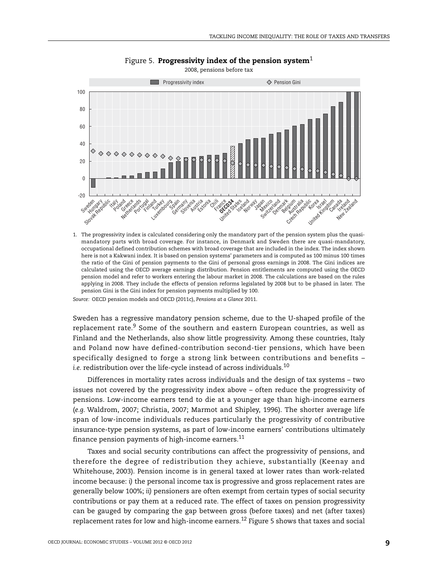<span id="page-10-0"></span>

Figure 5. **Progressivity index of the pension system**<sup>1</sup>

1. The progressivity index is calculated considering only the mandatory part of the pension system plus the quasimandatory parts with broad coverage. For instance, in Denmark and Sweden there are quasi-mandatory, occupational defined contribution schemes with broad coverage that are included in the index. The index shown here is not a Kakwani index. It is based on pension systems' parameters and is computed as 100 minus 100 times the ratio of the Gini of pension payments to the Gini of personal gross earnings in 2008. The Gini indices are calculated using the OECD average earnings distribution. Pension entitlements are computed using the OECD pension model and refer to workers entering the labour market in 2008. The calculations are based on the rules applying in 2008. They include the effects of pension reforms legislated by 2008 but to be phased in later. The pension Gini is the Gini index for pension payments multiplied by 100.

*Source:* OECD pension models and OECD (2011c), *Pensions at a Glance* 2011.

Sweden has a regressive mandatory pension scheme, due to the U-shaped profile of the replacement rate.<sup>9</sup> Some of the southern and eastern European countries, as well as Finland and the Netherlands, also show little progressivity. Among these countries, Italy and Poland now have defined-contribution second-tier pensions, which have been specifically designed to forge a strong link between contributions and benefits – *i.e.* redistribution over the life-cycle instead of across individuals.10

Differences in mortality rates across individuals and the design of tax systems – two issues not covered by the progressivity index above – often reduce the progressivity of pensions. Low-income earners tend to die at a younger age than high-income earners (*e.g.* Waldrom, 2007; Christia, 2007; Marmot and Shipley, 1996). The shorter average life span of low-income individuals reduces particularly the progressivity of contributive insurance-type pension systems, as part of low-income earners' contributions ultimately finance pension payments of high-income earners.<sup>11</sup>

Taxes and social security contributions can affect the progressivity of pensions, and therefore the degree of redistribution they achieve, substantially (Keenay and Whitehouse, 2003). Pension income is in general taxed at lower rates than work-related income because: *i)* the personal income tax is progressive and gross replacement rates are generally below 100%; *ii)* pensioners are often exempt from certain types of social security contributions or pay them at a reduced rate. The effect of taxes on pension progressivity can be gauged by comparing the gap between gross (before taxes) and net (after taxes) replacement rates for low and high-income earners.<sup>12</sup> [Figure 5](#page-10-0) shows that taxes and social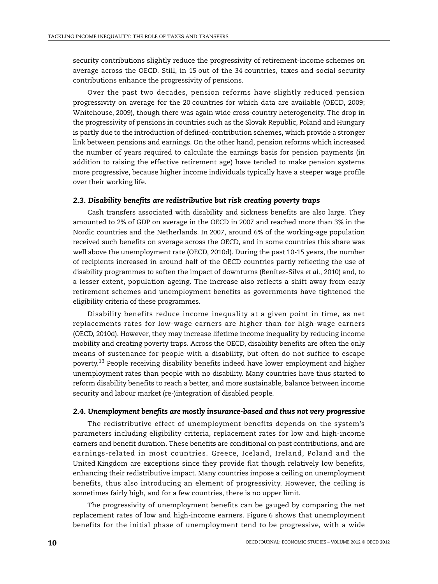security contributions slightly reduce the progressivity of retirement-income schemes on average across the OECD. Still, in 15 out of the 34 countries, taxes and social security contributions enhance the progressivity of pensions.

Over the past two decades, pension reforms have slightly reduced pension progressivity on average for the 20 countries for which data are available (OECD, 2009; Whitehouse, 2009), though there was again wide cross-country heterogeneity. The drop in the progressivity of pensions in countries such as the Slovak Republic, Poland and Hungary is partly due to the introduction of defined-contribution schemes, which provide a stronger link between pensions and earnings. On the other hand, pension reforms which increased the number of years required to calculate the earnings basis for pension payments (in addition to raising the effective retirement age) have tended to make pension systems more progressive, because higher income individuals typically have a steeper wage profile over their working life.

#### *2.3. Disability benefits are redistributive but risk creating poverty traps*

Cash transfers associated with disability and sickness benefits are also large. They amounted to 2% of GDP on average in the OECD in 2007 and reached more than 3% in the Nordic countries and the Netherlands. In 2007, around 6% of the working-age population received such benefits on average across the OECD, and in some countries this share was well above the unemployment rate (OECD, 2010d). During the past 10-15 years, the number of recipients increased in around half of the OECD countries partly reflecting the use of disability programmes to soften the impact of downturns (Benítez-Silva *et al.,* 2010) and, to a lesser extent, population ageing. The increase also reflects a shift away from early retirement schemes and unemployment benefits as governments have tightened the eligibility criteria of these programmes.

Disability benefits reduce income inequality at a given point in time, as net replacements rates for low-wage earners are higher than for high-wage earners (OECD, 2010d). However, they may increase lifetime income inequality by reducing income mobility and creating poverty traps. Across the OECD, disability benefits are often the only means of sustenance for people with a disability, but often do not suffice to escape poverty.<sup>13</sup> People receiving disability benefits indeed have lower employment and higher unemployment rates than people with no disability. Many countries have thus started to reform disability benefits to reach a better, and more sustainable, balance between income security and labour market (re-)integration of disabled people.

## *2.4. Unemployment benefits are mostly insurance-based and thus not very progressive*

The redistributive effect of unemployment benefits depends on the system's parameters including eligibility criteria, replacement rates for low and high-income earners and benefit duration. These benefits are conditional on past contributions, and are earnings-related in most countries. Greece, Iceland, Ireland, Poland and the United Kingdom are exceptions since they provide flat though relatively low benefits, enhancing their redistributive impact. Many countries impose a ceiling on unemployment benefits, thus also introducing an element of progressivity. However, the ceiling is sometimes fairly high, and for a few countries, there is no upper limit.

The progressivity of unemployment benefits can be gauged by comparing the net replacement rates of low and high-income earners. [Figure 6](#page-12-0) shows that unemployment benefits for the initial phase of unemployment tend to be progressive, with a wide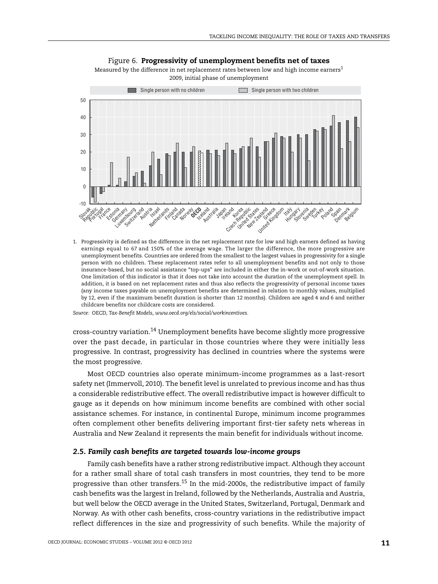

Figure 6. **Progressivity of unemployment benefits net of taxes**

<span id="page-12-0"></span>Measured by the difference in net replacement rates between low and high income earners<sup>1</sup> 2009, initial phase of unemployment

1. Progressivity is defined as the difference in the net replacement rate for low and high earners defined as having earnings equal to 67 and 150% of the average wage. The larger the difference, the more progressive are unemployment benefits. Countries are ordered from the smallest to the largest values in progressivity for a single person with no children. These replacement rates refer to all unemployment benefits and not only to those insurance-based, but no social assistance "top-ups" are included in either the in-work or out-of-work situation. One limitation of this indicator is that it does not take into account the duration of the unemployment spell. In addition, it is based on net replacement rates and thus also reflects the progressivity of personal income taxes (any income taxes payable on unemployment benefits are determined in relation to monthly values, multiplied by 12, even if the maximum benefit duration is shorter than 12 months). Children are aged 4 and 6 and neither childcare benefits nor childcare costs are considered.

*Source:* OECD, *Tax-Benefit Models*, *www.oecd.org/els/social/workincentives.*

cross-country variation.14 Unemployment benefits have become slightly more progressive over the past decade, in particular in those countries where they were initially less progressive. In contrast, progressivity has declined in countries where the systems were the most progressive.

Most OECD countries also operate minimum-income programmes as a last-resort safety net (Immervoll, 2010). The benefit level is unrelated to previous income and has thus a considerable redistributive effect. The overall redistributive impact is however difficult to gauge as it depends on how minimum income benefits are combined with other social assistance schemes. For instance, in continental Europe, minimum income programmes often complement other benefits delivering important first-tier safety nets whereas in Australia and New Zealand it represents the main benefit for individuals without income.

#### *2.5. Family cash benefits are targeted towards low-income groups*

Family cash benefits have a rather strong redistributive impact. Although they account for a rather small share of total cash transfers in most countries, they tend to be more progressive than other transfers.<sup>15</sup> In the mid-2000s, the redistributive impact of family cash benefits was the largest in Ireland, followed by the Netherlands, Australia and Austria, but well below the OECD average in the United States, Switzerland, Portugal, Denmark and Norway. As with other cash benefits, cross-country variations in the redistributive impact reflect differences in the size and progressivity of such benefits. While the majority of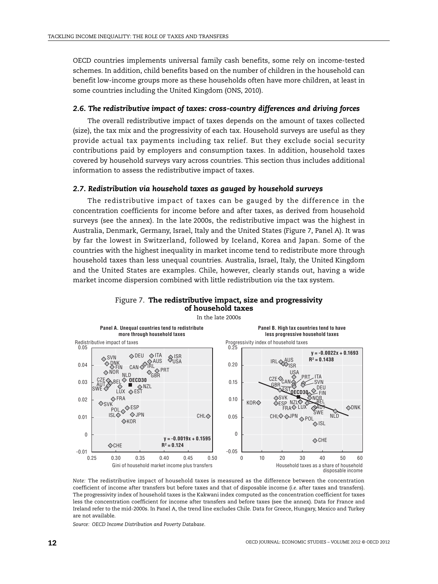OECD countries implements universal family cash benefits, some rely on income-tested schemes. In addition, child benefits based on the number of children in the household can benefit low-income groups more as these households often have more children, at least in some countries including the United Kingdom (ONS, 2010).

#### *2.6. The redistributive impact of taxes: cross-country differences and driving forces*

The overall redistributive impact of taxes depends on the amount of taxes collected (size), the tax mix and the progressivity of each tax. Household surveys are useful as they provide actual tax payments including tax relief. But they exclude social security contributions paid by employers and consumption taxes. In addition, household taxes covered by household surveys vary across countries. This section thus includes additional information to assess the redistributive impact of taxes.

#### *2.7. Redistribution via household taxes as gauged by household surveys*

The redistributive impact of taxes can be gauged by the difference in the concentration coefficients for income before and after taxes, as derived from household surveys (see the annex). In the late 2000s, the redistributive impact was the highest in Australia, Denmark, Germany, Israel, Italy and the United States ([Figure 7](#page-13-0), Panel A). It was by far the lowest in Switzerland, followed by Iceland, Korea and Japan. Some of the countries with the highest inequality in market income tend to redistribute more through household taxes than less unequal countries. Australia, Israel, Italy, the United Kingdom and the United States are examples. Chile, however, clearly stands out, having a wide market income dispersion combined with little redistribution *via* the tax system.

<span id="page-13-0"></span>

Figure 7. **The redistributive impact, size and progressivity of household taxes**

*Note:* The redistributive impact of household taxes is measured as the difference between the concentration coefficient of income after transfers but before taxes and that of disposable income (*i.e.* after taxes and transfers). The progressivity index of household taxes is the Kakwani index computed as the concentration coefficient for taxes less the concentration coefficient for income after transfers and before taxes (see the annex). Data for France and Ireland refer to the mid-2000s. In Panel A, the trend line excludes Chile. Data for Greece, Hungary, Mexico and Turkey are not available.

*Source: OECD Income Distribution and Poverty Database*.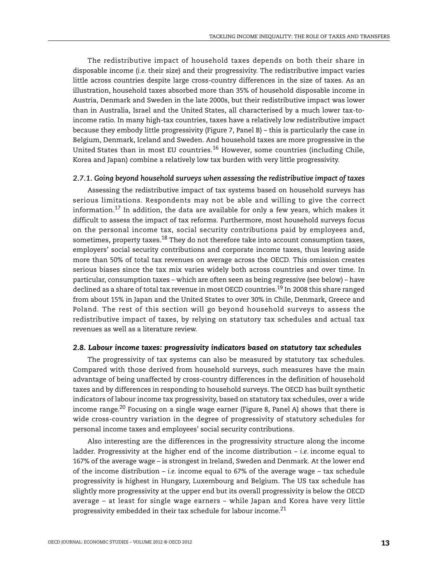The redistributive impact of household taxes depends on both their share in disposable income (*i.e.* their size) and their progressivity. The redistributive impact varies little across countries despite large cross-country differences in the size of taxes. As an illustration, household taxes absorbed more than 35% of household disposable income in Austria, Denmark and Sweden in the late 2000s, but their redistributive impact was lower than in Australia, Israel and the United States, all characterised by a much lower tax-toincome ratio. In many high-tax countries, taxes have a relatively low redistributive impact because they embody little progressivity ([Figure 7](#page-13-0), Panel B) – this is particularly the case in Belgium, Denmark, Iceland and Sweden. And household taxes are more progressive in the United States than in most EU countries.<sup>16</sup> However, some countries (including Chile, Korea and Japan) combine a relatively low tax burden with very little progressivity.

#### *2.7.1. Going beyond household surveys when assessing the redistributive impact of taxes*

Assessing the redistributive impact of tax systems based on household surveys has serious limitations. Respondents may not be able and willing to give the correct information.<sup>17</sup> In addition, the data are available for only a few years, which makes it difficult to assess the impact of tax reforms. Furthermore, most household surveys focus on the personal income tax, social security contributions paid by employees and, sometimes, property taxes.<sup>18</sup> They do not therefore take into account consumption taxes, employers' social security contributions and corporate income taxes, thus leaving aside more than 50% of total tax revenues on average across the OECD. This omission creates serious biases since the tax mix varies widely both across countries and over time. In particular, consumption taxes – which are often seen as being regressive (see below) – have declined as a share of total tax revenue in most OECD countries.<sup>19</sup> In 2008 this share ranged from about 15% in Japan and the United States to over 30% in Chile, Denmark, Greece and Poland. The rest of this section will go beyond household surveys to assess the redistributive impact of taxes, by relying on statutory tax schedules and actual tax revenues as well as a literature review.

#### *2.8. Labour income taxes: progressivity indicators based on statutory tax schedules*

The progressivity of tax systems can also be measured by statutory tax schedules. Compared with those derived from household surveys, such measures have the main advantage of being unaffected by cross-country differences in the definition of household taxes and by differences in responding to household surveys. The OECD has built synthetic indicators of labour income tax progressivity, based on statutory tax schedules, over a wide income range.<sup>20</sup> Focusing on a single wage earner ([Figure 8](#page-15-0), Panel A) shows that there is wide cross-country variation in the degree of progressivity of statutory schedules for personal income taxes and employees' social security contributions.

Also interesting are the differences in the progressivity structure along the income ladder. Progressivity at the higher end of the income distribution – *i.e.* income equal to 167% of the average wage – is strongest in Ireland, Sweden and Denmark. At the lower end of the income distribution – *i.e.* income equal to 67% of the average wage – tax schedule progressivity is highest in Hungary, Luxembourg and Belgium. The US tax schedule has slightly more progressivity at the upper end but its overall progressivity is below the OECD average – at least for single wage earners – while Japan and Korea have very little progressivity embedded in their tax schedule for labour income.21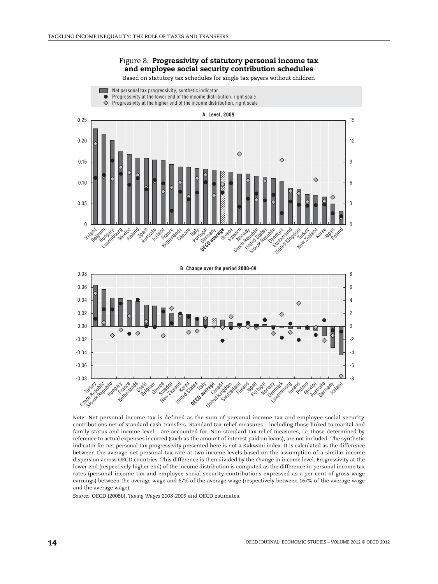**Contract** 

Net personal tax progressivity, synthetic indicator

#### Figure 8. **Progressivity of statutory personal income tax and employee social security contribution schedules**

Based on statutory tax schedules for single tax payers without children

<span id="page-15-0"></span>

**B. Change over the period 2000-09**0.08 8 0.06 6 0.04 4  $\Diamond$ 0.02  $\mathfrak{p}$ 0.00  $\theta$  $\Diamond$  $\triangle$ -0.02 -2 -0.04 -4 -0.06 -6 -0.08 -8 Switzerland Luxembourg Australia Sweden Norway Ireland Poland Mexico Germany **Iceland** Finland Denmark ce den zand Japan Nga Slovak Republicand Nationals El rece s ain Belgium united States ates-tally age Linder Still Tutt Republic Ref

*Note:* Net personal income tax is defined as the sum of personal income tax and employee social security contributions net of standard cash transfers. Standard tax relief measures – including those linked to marital and family status and income level – are accounted for. Non-standard tax relief measures, *i.e.* those determined by reference to actual expenses incurred (such as the amount of interest paid on loans), are not included. The synthetic indicator for net personal tax progressivity presented here is not a Kakwani index. It is calculated as the difference between the average net personal tax rate at two income levels based on the assumption of a similar income dispersion across OECD countries. This difference is then divided by the change in income level. Progressivity at the lower end (respectively higher end) of the income distribution is computed as the difference in personal income tax rates (personal income tax and employee social security contributions expressed as a per cent of gross wage earnings) between the average wage and 67% of the average wage (respectively between 167% of the average wage and the average wage).

*Source:* OECD (2008b), *Taxing Wages 2008-2009* and OECD estimates.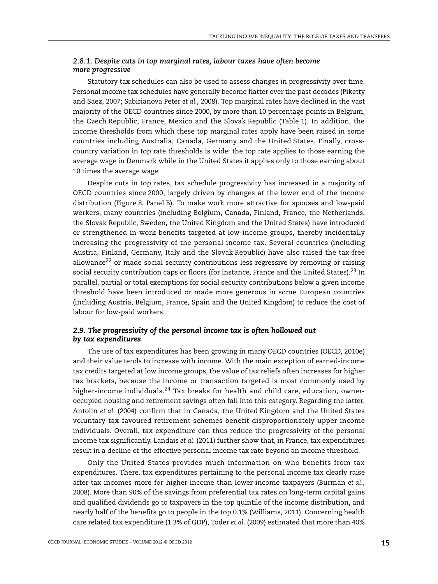## *2.8.1. Despite cuts in top marginal rates, labour taxes have often become more progressive*

Statutory tax schedules can also be used to assess changes in progressivity over time. Personal income tax schedules have generally become flatter over the past decades (Piketty and Saez, 2007; Sabirianova Peter *et al.*, 2008). Top marginal rates have declined in the vast majority of the OECD countries since 2000, by more than 10 percentage points in Belgium, the Czech Republic, France, Mexico and the Slovak Republic ([Table 1](#page-17-0)). In addition, the income thresholds from which these top marginal rates apply have been raised in some countries including Australia, Canada, Germany and the United States. Finally, crosscountry variation in top rate thresholds is wide: the top rate applies to those earning the average wage in Denmark while in the United States it applies only to those earning about 10 times the average wage.

Despite cuts in top rates, tax schedule progressivity has increased in a majority of OECD countries since 2000, largely driven by changes at the lower end of the income distribution ([Figure 8](#page-15-0), Panel B). To make work more attractive for spouses and low-paid workers, many countries (including Belgium, Canada, Finland, France, the Netherlands, the Slovak Republic, Sweden, the United Kingdom and the United States) have introduced or strengthened in-work benefits targeted at low-income groups, thereby incidentally increasing the progressivity of the personal income tax. Several countries (including Austria, Finland, Germany, Italy and the Slovak Republic) have also raised the tax-free allowance<sup>22</sup> or made social security contributions less regressive by removing or raising social security contribution caps or floors (for instance, France and the United States).<sup>23</sup> In parallel, partial or total exemptions for social security contributions below a given income threshold have been introduced or made more generous in some European countries (including Austria, Belgium, France, Spain and the United Kingdom) to reduce the cost of labour for low-paid workers.

## *2.9. The progressivity of the personal income tax is often hollowed out by tax expenditures*

The use of tax expenditures has been growing in many OECD countries (OECD, 2010e) and their value tends to increase with income. With the main exception of earned-income tax credits targeted at low income groups, the value of tax reliefs often increases for higher tax brackets, because the income or transaction targeted is most commonly used by higher-income individuals.<sup>24</sup> Tax breaks for health and child care, education, owneroccupied housing and retirement savings often fall into this category. Regarding the latter, Antolin *et al.* (2004) confirm that in Canada, the United Kingdom and the United States voluntary tax-favoured retirement schemes benefit disproportionately upper income individuals. Overall, tax expenditure can thus reduce the progressivity of the personal income tax significantly. Landais *et al.* (2011) further show that, in France, tax expenditures result in a decline of the effective personal income tax rate beyond an income threshold.

Only the United States provides much information on who benefits from tax expenditures. There, tax expenditures pertaining to the personal income tax clearly raise after-tax incomes more for higher-income than lower-income taxpayers (Burman *et al.*, 2008). More than 90% of the savings from preferential tax rates on long-term capital gains and qualified dividends go to taxpayers in the top quintile of the income distribution, and nearly half of the benefits go to people in the top 0.1% (Williams, 2011). Concerning health care related tax expenditure (1.3% of GDP), Toder *et al.* (2009) estimated that more than 40%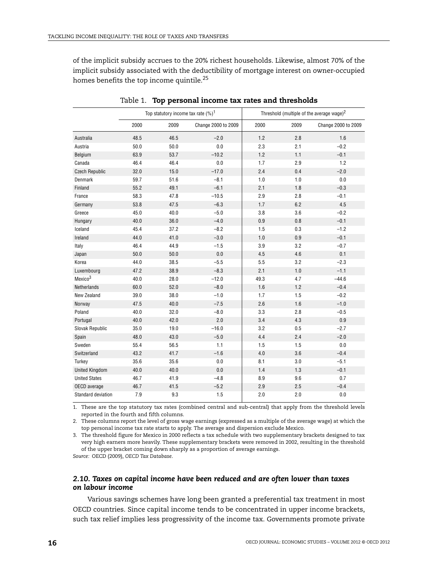of the implicit subsidy accrues to the 20% richest households. Likewise, almost 70% of the implicit subsidy associated with the deductibility of mortgage interest on owner-occupied homes benefits the top income quintile.<sup>25</sup>

<span id="page-17-0"></span>

|                        | Top statutory income tax rate $(%)^1$ |      |                     | Threshold (multiple of the average wage) <sup>2</sup> |         |                     |
|------------------------|---------------------------------------|------|---------------------|-------------------------------------------------------|---------|---------------------|
|                        | 2000                                  | 2009 | Change 2000 to 2009 | 2000                                                  | 2009    | Change 2000 to 2009 |
| Australia              | 48.5                                  | 46.5 | $-2.0$              | 1.2                                                   | 2.8     | 1.6                 |
| Austria                | 50.0                                  | 50.0 | 0.0                 | 2.3                                                   | 2.1     | $-0.2$              |
| Belgium                | 63.9                                  | 53.7 | $-10.2$             | 1.2                                                   | 1.1     | $-0.1$              |
| Canada                 | 46.4                                  | 46.4 | 0.0                 | 1.7                                                   | 2.9     | 1.2                 |
| <b>Czech Republic</b>  | 32.0                                  | 15.0 | $-17.0$             | 2.4                                                   | 0.4     | $-2.0$              |
| Denmark                | 59.7                                  | 51.6 | $-8.1$              | 1.0                                                   | 1.0     | 0.0                 |
| Finland                | 55.2                                  | 49.1 | $-6.1$              | 2.1                                                   | 1.8     | $-0.3$              |
| France                 | 58.3                                  | 47.8 | $-10.5$             | 2.9                                                   | 2.8     | $-0.1$              |
| Germany                | 53.8                                  | 47.5 | $-6.3$              | 1.7                                                   | 6.2     | 4.5                 |
| Greece                 | 45.0                                  | 40.0 | $-5.0$              | 3.8                                                   | 3.6     | $-0.2$              |
| Hungary                | 40.0                                  | 36.0 | $-4.0$              | 0.9                                                   | $0.8\,$ | $-0.1$              |
| Iceland                | 45.4                                  | 37.2 | $-8.2$              | 1.5                                                   | 0.3     | $-1.2$              |
| Ireland                | 44.0                                  | 41.0 | $-3.0$              | 1.0                                                   | 0.9     | $-0.1$              |
| Italy                  | 46.4                                  | 44.9 | $-1.5$              | 3.9                                                   | 3.2     | $-0.7$              |
| Japan                  | 50.0                                  | 50.0 | $0.0\,$             | 4.5                                                   | 4.6     | 0.1                 |
| Korea                  | 44.0                                  | 38.5 | $-5.5$              | 5.5                                                   | 3.2     | $-2.3$              |
| Luxembourg             | 47.2                                  | 38.9 | $-8.3$              | 2.1                                                   | 1.0     | $-1.1$              |
| Mexico <sup>3</sup>    | 40.0                                  | 28.0 | $-12.0$             | 49.3                                                  | 4.7     | $-44.6$             |
| Netherlands            | 60.0                                  | 52.0 | $-8.0$              | 1.6                                                   | 1.2     | $-0.4$              |
| New Zealand            | 39.0                                  | 38.0 | $-1.0$              | 1.7                                                   | 1.5     | $-0.2$              |
| Norway                 | 47.5                                  | 40.0 | $-7.5$              | 2.6                                                   | 1.6     | $-1.0$              |
| Poland                 | 40.0                                  | 32.0 | $-8.0$              | 3.3                                                   | 2.8     | $-0.5$              |
| Portugal               | 40.0                                  | 42.0 | 2.0                 | 3.4                                                   | 4.3     | 0.9                 |
| <b>Slovak Republic</b> | 35.0                                  | 19.0 | $-16.0$             | 3.2                                                   | 0.5     | $-2.7$              |
| Spain                  | 48.0                                  | 43.0 | $-5.0$              | 4.4                                                   | 2.4     | $-2.0$              |
| Sweden                 | 55.4                                  | 56.5 | 1.1                 | 1.5                                                   | 1.5     | 0.0                 |
| Switzerland            | 43.2                                  | 41.7 | $-1.6$              | 4.0                                                   | 3.6     | $-0.4$              |
| Turkey                 | 35.6                                  | 35.6 | 0.0                 | 8.1                                                   | 3.0     | $-5.1$              |
| <b>United Kingdom</b>  | 40.0                                  | 40.0 | 0.0                 | 1.4                                                   | 1.3     | $-0.1$              |
| <b>United States</b>   | 46.7                                  | 41.9 | $-4.8$              | 8.9                                                   | 9.6     | 0.7                 |
| OECD average           | 46.7                                  | 41.5 | $-5.2$              | 2.9                                                   | 2.5     | $-0.4$              |
| Standard deviation     | 7.9                                   | 9.3  | 1.5                 | 2.0                                                   | 2.0     | 0.0                 |

Table 1. **Top personal income tax rates and thresholds**

1. These are the top statutory tax rates (combined central and sub-central) that apply from the threshold levels reported in the fourth and fifth columns.

2. These columns report the level of gross wage earnings (expressed as a multiple of the average wage) at which the top personal income tax rate starts to apply. The average and dispersion exclude Mexico.

3. The threshold figure for Mexico in 2000 reflects a tax schedule with two supplementary brackets designed to tax very high earners more heavily. These supplementary brackets were removed in 2002, resulting in the threshold of the upper bracket coming down sharply as a proportion of average earnings.

*Source:* OECD (2009), *OECD Tax Database*.

#### *2.10. Taxes on capital income have been reduced and are often lower than taxes on labour income*

Various savings schemes have long been granted a preferential tax treatment in most OECD countries. Since capital income tends to be concentrated in upper income brackets, such tax relief implies less progressivity of the income tax. Governments promote private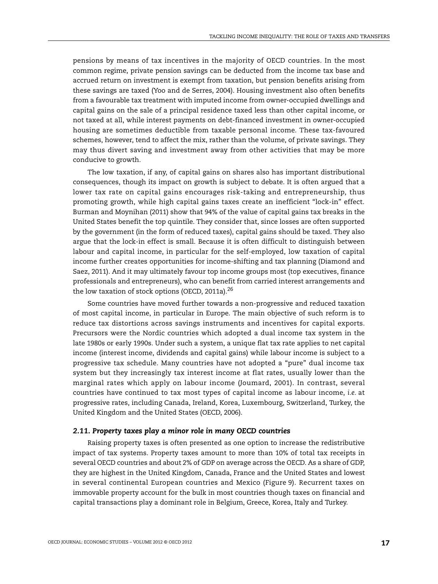pensions by means of tax incentives in the majority of OECD countries. In the most common regime, private pension savings can be deducted from the income tax base and accrued return on investment is exempt from taxation, but pension benefits arising from these savings are taxed (Yoo and de Serres, 2004). Housing investment also often benefits from a favourable tax treatment with imputed income from owner-occupied dwellings and capital gains on the sale of a principal residence taxed less than other capital income, or not taxed at all, while interest payments on debt-financed investment in owner-occupied housing are sometimes deductible from taxable personal income. These tax-favoured schemes, however, tend to affect the mix, rather than the volume, of private savings. They may thus divert saving and investment away from other activities that may be more conducive to growth.

The low taxation, if any, of capital gains on shares also has important distributional consequences, though its impact on growth is subject to debate. It is often argued that a lower tax rate on capital gains encourages risk-taking and entrepreneurship, thus promoting growth, while high capital gains taxes create an inefficient "lock-in" effect. Burman and Moynihan (2011) show that 94% of the value of capital gains tax breaks in the United States benefit the top quintile. They consider that, since losses are often supported by the government (in the form of reduced taxes), capital gains should be taxed. They also argue that the lock-in effect is small. Because it is often difficult to distinguish between labour and capital income, in particular for the self-employed, low taxation of capital income further creates opportunities for income-shifting and tax planning (Diamond and Saez, 2011). And it may ultimately favour top income groups most (top executives, finance professionals and entrepreneurs), who can benefit from carried interest arrangements and the low taxation of stock options (OECD, 2011a). $^{26}$ 

Some countries have moved further towards a non-progressive and reduced taxation of most capital income, in particular in Europe. The main objective of such reform is to reduce tax distortions across savings instruments and incentives for capital exports. Precursors were the Nordic countries which adopted a dual income tax system in the late 1980s or early 1990s. Under such a system, a unique flat tax rate applies to net capital income (interest income, dividends and capital gains) while labour income is subject to a progressive tax schedule. Many countries have not adopted a "pure" dual income tax system but they increasingly tax interest income at flat rates, usually lower than the marginal rates which apply on labour income (Joumard, 2001). In contrast, several countries have continued to tax most types of capital income as labour income, *i.e.* at progressive rates, including Canada, Ireland, Korea, Luxembourg, Switzerland, Turkey, the United Kingdom and the United States (OECD, 2006).

## *2.11. Property taxes play a minor role in many OECD countries*

Raising property taxes is often presented as one option to increase the redistributive impact of tax systems. Property taxes amount to more than 10% of total tax receipts in several OECD countries and about 2% of GDP on average across the OECD. As a share of GDP, they are highest in the United Kingdom, Canada, France and the United States and lowest in several continental European countries and Mexico ([Figure 9](#page-19-0)). Recurrent taxes on immovable property account for the bulk in most countries though taxes on financial and capital transactions play a dominant role in Belgium, Greece, Korea, Italy and Turkey.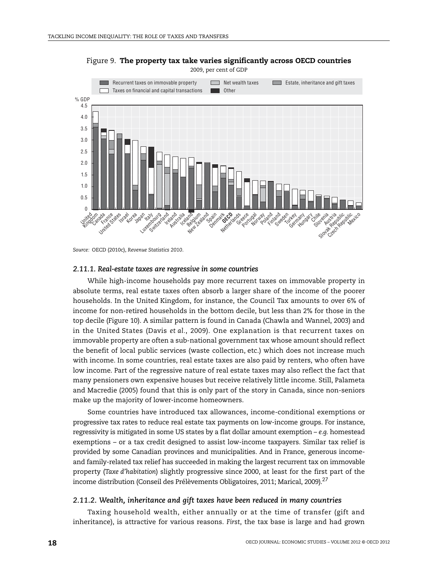

<span id="page-19-0"></span>Figure 9. **The property tax take varies significantly across OECD countries** 2009, per cent of GDP

#### *2.11.1. Real-estate taxes are regressive in some countries*

While high-income households pay more recurrent taxes on immovable property in absolute terms, real estate taxes often absorb a larger share of the income of the poorer households. In the United Kingdom, for instance, the Council Tax amounts to over 6% of income for non-retired households in the bottom decile, but less than 2% for those in the top decile [\(Figure 10](#page-20-0)). A similar pattern is found in Canada (Chawla and Wannel, 2003) and in the United States (Davis *et al.*, 2009). One explanation is that recurrent taxes on immovable property are often a sub-national government tax whose amount should reflect the benefit of local public services (waste collection, etc.) which does not increase much with income. In some countries, real estate taxes are also paid by renters, who often have low income. Part of the regressive nature of real estate taxes may also reflect the fact that many pensioners own expensive houses but receive relatively little income. Still, Palameta and Macredie (2005) found that this is only part of the story in Canada, since non-seniors make up the majority of lower-income homeowners.

Some countries have introduced tax allowances, income-conditional exemptions or progressive tax rates to reduce real estate tax payments on low-income groups. For instance, regressivity is mitigated in some US states by a flat dollar amount exemption – *e.g.* homestead exemptions – or a tax credit designed to assist low-income taxpayers. Similar tax relief is provided by some Canadian provinces and municipalities. And in France, generous incomeand family-related tax relief has succeeded in making the largest recurrent tax on immovable property (*Taxe d'habitation*) slightly progressive since 2000, at least for the first part of the income distribution (Conseil des Prélèvements Obligatoires, 2011; Marical, 2009).<sup>27</sup>

#### *2.11.2. Wealth, inheritance and gift taxes have been reduced in many countries*

Taxing household wealth, either annually or at the time of transfer (gift and inheritance), is attractive for various reasons. *First*, the tax base is large and had grown

*Source:* OECD (2010c), *Revenue Statistics 2010*.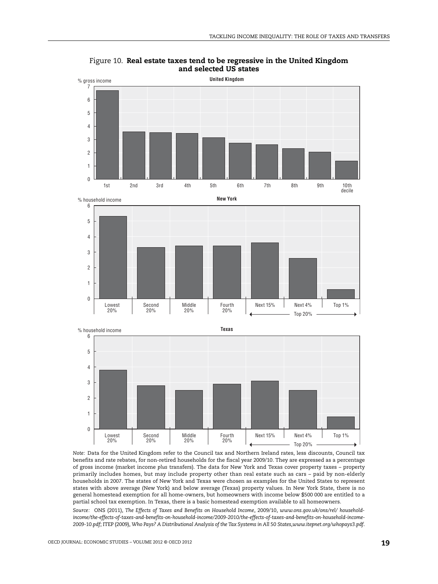

<span id="page-20-0"></span>Figure 10. **Real estate taxes tend to be regressive in the United Kingdom and selected US states**

*Note:* Data for the United Kingdom refer to the Council tax and Northern Ireland rates, less discounts, Council tax benefits and rate rebates, for non-retired households for the fiscal year 2009/10. They are expressed as a percentage of gross income (market income *plus* transfers). The data for New York and Texas cover property taxes – property primarily includes homes, but may include property other than real estate such as cars – paid by non-elderly households in 2007. The states of New York and Texas were chosen as examples for the United States to represent states with above average (New York) and below average (Texas) property values. In New York State, there is no general homestead exemption for all home-owners, but homeowners with income below \$500 000 are entitled to a partial school tax exemption. In Texas, there is a basic homestead exemption available to all homeowners.

*Source:* ONS (2011), *The Effects of Taxes and Benefits on Household Income*, 2009/10, *www.ons.gov.uk/ons/rel/ householdincome/the-effects-of-taxes-and-benefits-on-household-income/2009-2010/the-effects-of-taxes-and-benefits-on-household-income-2009-10.pdf*; ITEP (2009), *Who Pays? A Distributional Analysis of the Tax Systems in All 50 States,www.itepnet.org/whopays3.pdf*.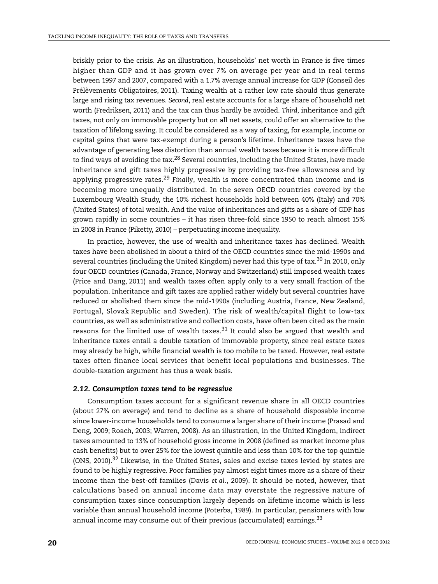briskly prior to the crisis. As an illustration, households' net worth in France is five times higher than GDP and it has grown over 7% on average per year and in real terms between 1997 and 2007, compared with a 1.7% average annual increase for GDP (Conseil des Prélèvements Obligatoires, 2011). Taxing wealth at a rather low rate should thus generate large and rising tax revenues. *Second*, real estate accounts for a large share of household net worth (Fredriksen, 2011) and the tax can thus hardly be avoided. *Third*, inheritance and gift taxes, not only on immovable property but on all net assets, could offer an alternative to the taxation of lifelong saving. It could be considered as a way of taxing, for example, income or capital gains that were tax-exempt during a person's lifetime. Inheritance taxes have the advantage of generating less distortion than annual wealth taxes because it is more difficult to find ways of avoiding the  $\text{tax.}^{28}$  Several countries, including the United States, have made inheritance and gift taxes highly progressive by providing tax-free allowances and by applying progressive rates.29 *Finally*, wealth is more concentrated than income and is becoming more unequally distributed. In the seven OECD countries covered by the Luxembourg Wealth Study, the 10% richest households hold between 40% (Italy) and 70% (United States) of total wealth. And the value of inheritances and gifts as a share of GDP has grown rapidly in some countries – it has risen three-fold since 1950 to reach almost 15% in 2008 in France (Piketty, 2010) – perpetuating income inequality.

In practice, however, the use of wealth and inheritance taxes has declined. Wealth taxes have been abolished in about a third of the OECD countries since the mid-1990s and several countries (including the United Kingdom) never had this type of tax.<sup>30</sup> In 2010, only four OECD countries (Canada, France, Norway and Switzerland) still imposed wealth taxes (Price and Dang, 2011) and wealth taxes often apply only to a very small fraction of the population. Inheritance and gift taxes are applied rather widely but several countries have reduced or abolished them since the mid-1990s (including Austria, France, New Zealand, Portugal, Slovak Republic and Sweden). The risk of wealth/capital flight to low-tax countries, as well as administrative and collection costs, have often been cited as the main reasons for the limited use of wealth taxes.<sup>31</sup> It could also be argued that wealth and inheritance taxes entail a double taxation of immovable property, since real estate taxes may already be high, while financial wealth is too mobile to be taxed. However, real estate taxes often finance local services that benefit local populations and businesses. The double-taxation argument has thus a weak basis.

#### *2.12. Consumption taxes tend to be regressive*

Consumption taxes account for a significant revenue share in all OECD countries (about 27% on average) and tend to decline as a share of household disposable income since lower-income households tend to consume a larger share of their income (Prasad and Deng, 2009; Roach, 2003; Warren, 2008). As an illustration, in the United Kingdom, indirect taxes amounted to 13% of household gross income in 2008 (defined as market income plus cash benefits) but to over 25% for the lowest quintile and less than 10% for the top quintile (ONS, 2010).<sup>32</sup> Likewise, in the United States, sales and excise taxes levied by states are found to be highly regressive. Poor families pay almost eight times more as a share of their income than the best-off families (Davis *et al.*, 2009). It should be noted, however, that calculations based on annual income data may overstate the regressive nature of consumption taxes since consumption largely depends on lifetime income which is less variable than annual household income (Poterba, 1989). In particular, pensioners with low annual income may consume out of their previous (accumulated) earnings.<sup>33</sup>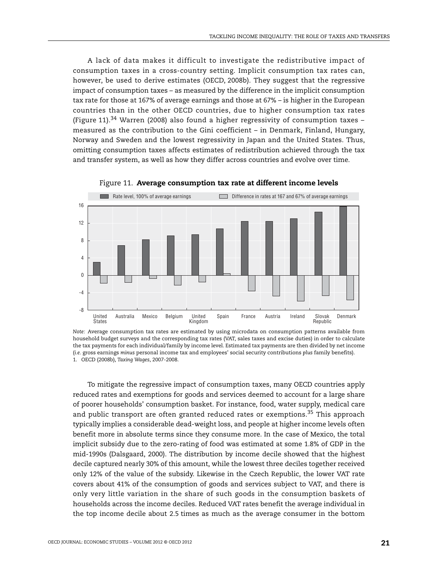A lack of data makes it difficult to investigate the redistributive impact of consumption taxes in a cross-country setting. Implicit consumption tax rates can, however, be used to derive estimates (OECD, 2008b). They suggest that the regressive impact of consumption taxes – as measured by the difference in the implicit consumption tax rate for those at 167% of average earnings and those at 67% – is higher in the European countries than in the other OECD countries, due to higher consumption tax rates [\(Figure 11\)](#page-22-0).<sup>34</sup> Warren (2008) also found a higher regressivity of consumption taxes – measured as the contribution to the Gini coefficient – in Denmark, Finland, Hungary, Norway and Sweden and the lowest regressivity in Japan and the United States. Thus, omitting consumption taxes affects estimates of redistribution achieved through the tax and transfer system, as well as how they differ across countries and evolve over time.

<span id="page-22-0"></span>

Figure 11. **Average consumption tax rate at different income levels**

To mitigate the regressive impact of consumption taxes, many OECD countries apply reduced rates and exemptions for goods and services deemed to account for a large share of poorer households' consumption basket. For instance, food, water supply, medical care and public transport are often granted reduced rates or exemptions.<sup>35</sup> This approach typically implies a considerable dead-weight loss, and people at higher income levels often benefit more in absolute terms since they consume more. In the case of Mexico, the total implicit subsidy due to the zero-rating of food was estimated at some 1.8% of GDP in the mid-1990s (Dalsgaard, 2000). The distribution by income decile showed that the highest decile captured nearly 30% of this amount, while the lowest three deciles together received only 12% of the value of the subsidy. Likewise in the Czech Republic, the lower VAT rate covers about 41% of the consumption of goods and services subject to VAT, and there is only very little variation in the share of such goods in the consumption baskets of households across the income deciles. Reduced VAT rates benefit the average individual in the top income decile about 2.5 times as much as the average consumer in the bottom

*Note:* Average consumption tax rates are estimated by using microdata on consumption patterns available from household budget surveys and the corresponding tax rates (VAT, sales taxes and excise duties) in order to calculate the tax payments for each individual/family by income level. Estimated tax payments are then divided by net income (*i.e.* gross earnings *minus* personal income tax and employees' social security contributions *plus* family benefits). 1. OECD (2008b), *Taxing Wages*, 2007-2008.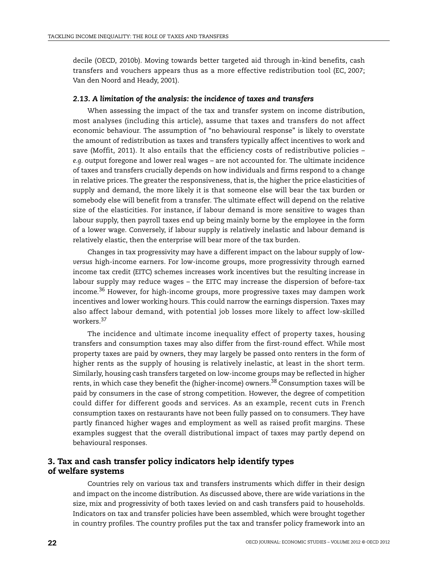decile (OECD, 2010b). Moving towards better targeted aid through in-kind benefits, cash transfers and vouchers appears thus as a more effective redistribution tool (EC, 2007; Van den Noord and Heady, 2001).

### *2.13. A limitation of the analysis: the incidence of taxes and transfers*

When assessing the impact of the tax and transfer system on income distribution, most analyses (including this article), assume that taxes and transfers do not affect economic behaviour. The assumption of "no behavioural response" is likely to overstate the amount of redistribution as taxes and transfers typically affect incentives to work and save (Moffit, 2011). It also entails that the efficiency costs of redistributive policies – *e.g.* output foregone and lower real wages – are not accounted for. The ultimate incidence of taxes and transfers crucially depends on how individuals and firms respond to a change in relative prices. The greater the responsiveness, that is, the higher the price elasticities of supply and demand, the more likely it is that someone else will bear the tax burden or somebody else will benefit from a transfer. The ultimate effect will depend on the relative size of the elasticities. For instance, if labour demand is more sensitive to wages than labour supply, then payroll taxes end up being mainly borne by the employee in the form of a lower wage. Conversely, if labour supply is relatively inelastic and labour demand is relatively elastic, then the enterprise will bear more of the tax burden.

Changes in tax progressivity may have a different impact on the labour supply of low*versus* high-income earners. For low-income groups, more progressivity through earned income tax credit (EITC) schemes increases work incentives but the resulting increase in labour supply may reduce wages – the EITC may increase the dispersion of before-tax income.36 However, for high-income groups, more progressive taxes may dampen work incentives and lower working hours. This could narrow the earnings dispersion. Taxes may also affect labour demand, with potential job losses more likely to affect low-skilled workers.37

The incidence and ultimate income inequality effect of property taxes, housing transfers and consumption taxes may also differ from the first-round effect. While most property taxes are paid by owners, they may largely be passed onto renters in the form of higher rents as the supply of housing is relatively inelastic, at least in the short term. Similarly, housing cash transfers targeted on low-income groups may be reflected in higher rents, in which case they benefit the (higher-income) owners.38 Consumption taxes will be paid by consumers in the case of strong competition. However, the degree of competition could differ for different goods and services. As an example, recent cuts in French consumption taxes on restaurants have not been fully passed on to consumers. They have partly financed higher wages and employment as well as raised profit margins. These examples suggest that the overall distributional impact of taxes may partly depend on behavioural responses.

## **3. Tax and cash transfer policy indicators help identify types of welfare systems**

Countries rely on various tax and transfers instruments which differ in their design and impact on the income distribution. As discussed above, there are wide variations in the size, mix and progressivity of both taxes levied on and cash transfers paid to households. Indicators on tax and transfer policies have been assembled, which were brought together in country profiles. The country profiles put the tax and transfer policy framework into an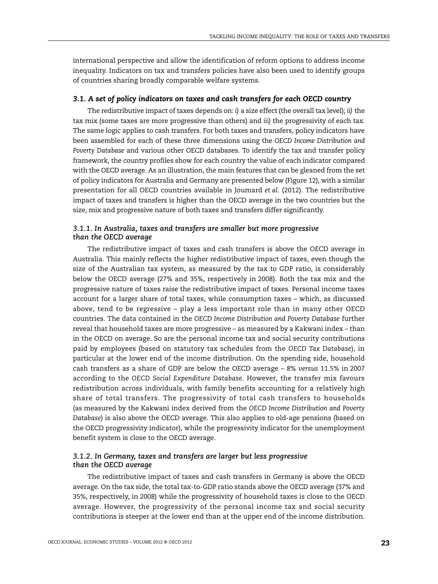international perspective and allow the identification of reform options to address income inequality. Indicators on tax and transfers policies have also been used to identify groups of countries sharing broadly comparable welfare systems.

#### *3.1. A set of policy indicators on taxes and cash transfers for each OECD country*

The redistributive impact of taxes depends on: *i)* a size effect (the overall tax level); *ii)* the tax mix (some taxes are more progressive than others) and *iii)* the progressivity of each tax. The same logic applies to cash transfers. For both taxes and transfers, policy indicators have been assembled for each of these three dimensions using the *OECD Income Distribution and Poverty Database* and various other OECD databases. To identify the tax and transfer policy framework, the country profiles show for each country the value of each indicator compared with the OECD average. As an illustration, the main features that can be gleaned from the set of policy indicators for Australia and Germany are presented below ([Figure 12](#page-25-0)), with a similar presentation for all OECD countries available in Joumard *et al.* (2012). The redistributive impact of taxes and transfers is higher than the OECD average in the two countries but the size, mix and progressive nature of both taxes and transfers differ significantly.

## *3.1.1. In Australia, taxes and transfers are smaller but more progressive than the OECD average*

The redistributive impact of taxes and cash transfers is above the OECD average in Australia. This mainly reflects the higher redistributive impact of taxes, even though the size of the Australian tax system, as measured by the tax to GDP ratio, is considerably below the OECD average (27% and 35%, respectively in 2008). Both the tax mix and the progressive nature of taxes raise the redistributive impact of taxes. Personal income taxes account for a larger share of total taxes, while consumption taxes – which, as discussed above, tend to be regressive – play a less important role than in many other OECD countries. The data contained in the *OECD Income Distribution and Poverty Database* further reveal that household taxes are more progressive – as measured by a Kakwani index – than in the OECD on average. So are the personal income tax and social security contributions paid by employees (based on statutory tax schedules from the *OECD Tax Database*), in particular at the lower end of the income distribution. On the spending side, household cash transfers as a share of GDP are below the OECD average – 8% *versus* 11.5% in 2007 according to the *OECD Social Expenditure Database*. However, the transfer mix favours redistribution across individuals, with family benefits accounting for a relatively high share of total transfers. The progressivity of total cash transfers to households (as measured by the Kakwani index derived from the *OECD Income Distribution and Poverty Database*) is also above the OECD average. This also applies to old-age pensions (based on the OECD progressivity indicator), while the progressivity indicator for the unemployment benefit system is close to the OECD average.

## *3.1.2. In Germany, taxes and transfers are larger but less progressive than the OECD average*

The redistributive impact of taxes and cash transfers in Germany is above the OECD average. On the tax side, the total tax-to-GDP ratio stands above the OECD average (37% and 35%, respectively, in 2008) while the progressivity of household taxes is close to the OECD average. However, the progressivity of the personal income tax and social security contributions is steeper at the lower end than at the upper end of the income distribution.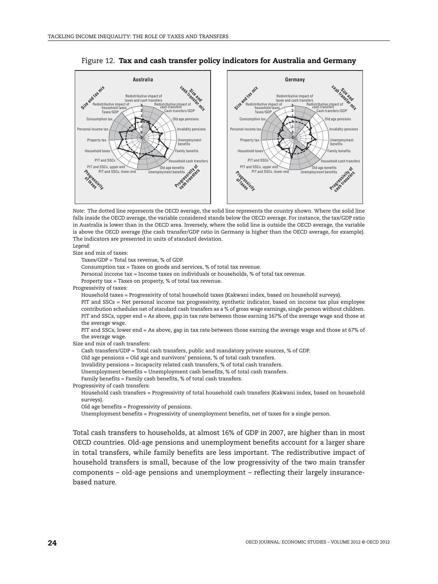

#### <span id="page-25-0"></span>Figure 12. **Tax and cash transfer policy indicators for Australia and Germany**



Size and mix of taxes:

Taxes/GDP = Total tax revenue, % of GDP.

Consumption tax = Taxes on goods and services, % of total tax revenue.

Personal income tax = Income taxes on individuals or households, % of total tax revenue.

Property tax = Taxes on property, % of total tax revenue.

Progressivity of taxes:

Household taxes = Progressivity of total household taxes (Kakwani index, based on household surveys).

PIT and SSCs = Net personal income tax progressivity, synthetic indicator, based on income tax plus employee contribution schedules net of standard cash transfers as a % of gross wage earnings, single person without children. PIT and SSCs, upper end = As above, gap in tax rate between those earning 167% of the average wage and those at the average wage.

PIT and SSCs, lower end = As above, gap in tax rate between those earning the average wage and those at 67% of the average wage.

Size and mix of cash transfers:

Cash transfers/GDP = Total cash transfers, public and mandatory private sources, % of GDP.

Old age pensions = Old age and survivors' pensions, % of total cash transfers.

Invalidity pensions = Incapacity related cash transfers, % of total cash transfers.

Unemployment benefits = Unemployment cash benefits, % of total cash transfers.

Family benefits = Family cash benefits, % of total cash transfers.

Progressivity of cash transfers:

Household cash transfers = Progressivity of total household cash transfers (Kakwani index, based on household surveys).

Old age benefits = Progressivity of pensions.

Unemployment benefits = Progressivity of unemployment benefits, net of taxes for a single person.

Total cash transfers to households, at almost 16% of GDP in 2007, are higher than in most OECD countries. Old-age pensions and unemployment benefits account for a larger share in total transfers, while family benefits are less important. The redistributive impact of household transfers is small, because of the low progressivity of the two main transfer components – old-age pensions and unemployment – reflecting their largely insurancebased nature.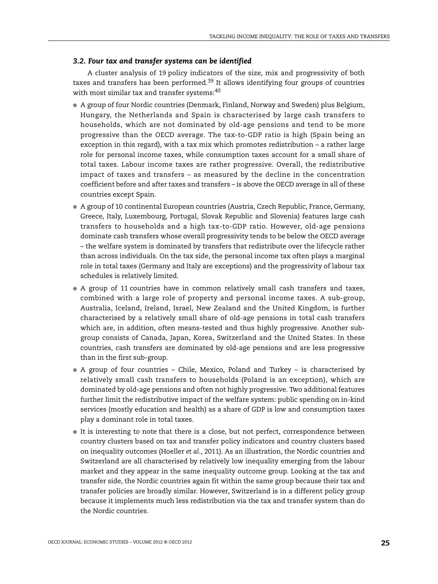#### *3.2. Four tax and transfer systems can be identified*

A cluster analysis of 19 policy indicators of the size, mix and progressivity of both taxes and transfers has been performed.<sup>39</sup> It allows identifying four groups of countries with most similar tax and transfer systems:<sup>[40](#page-30-0)</sup>

- A group of four Nordic countries (Denmark, Finland, Norway and Sweden) plus Belgium, Hungary, the Netherlands and Spain is characterised by large cash transfers to households, which are not dominated by old-age pensions and tend to be more progressive than the OECD average. The tax-to-GDP ratio is high (Spain being an exception in this regard), with a tax mix which promotes redistribution – a rather large role for personal income taxes, while consumption taxes account for a small share of total taxes. Labour income taxes are rather progressive. Overall, the redistributive impact of taxes and transfers – as measured by the decline in the concentration coefficient before and after taxes and transfers – is above the OECD average in all of these countries except Spain.
- A group of 10 continental European countries (Austria, Czech Republic, France, Germany, Greece, Italy, Luxembourg, Portugal, Slovak Republic and Slovenia) features large cash transfers to households and a high tax-to-GDP ratio. However, old-age pensions dominate cash transfers whose overall progressivity tends to be below the OECD average – the welfare system is dominated by transfers that redistribute over the lifecycle rather than across individuals. On the tax side, the personal income tax often plays a marginal role in total taxes (Germany and Italy are exceptions) and the progressivity of labour tax schedules is relatively limited.
- A group of 11 countries have in common relatively small cash transfers and taxes, combined with a large role of property and personal income taxes. A sub-group, Australia, Iceland, Ireland, Israel, New Zealand and the United Kingdom, is further characterised by a relatively small share of old-age pensions in total cash transfers which are, in addition, often means-tested and thus highly progressive. Another subgroup consists of Canada, Japan, Korea, Switzerland and the United States. In these countries, cash transfers are dominated by old-age pensions and are less progressive than in the first sub-group.
- A group of four countries Chile, Mexico, Poland and Turkey is characterised by relatively small cash transfers to households (Poland is an exception), which are dominated by old-age pensions and often not highly progressive. Two additional features further limit the redistributive impact of the welfare system: public spending on in-kind services (mostly education and health) as a share of GDP is low and consumption taxes play a dominant role in total taxes.
- It is interesting to note that there is a close, but not perfect, correspondence between country clusters based on tax and transfer policy indicators and country clusters based on inequality outcomes (Hoeller *et al*., 2011). As an illustration, the Nordic countries and Switzerland are all characterised by relatively low inequality emerging from the labour market and they appear in the same inequality outcome group. Looking at the tax and transfer side, the Nordic countries again fit within the same group because their tax and transfer policies are broadly similar. However, Switzerland is in a different policy group because it implements much less redistribution via the tax and transfer system than do the Nordic countries.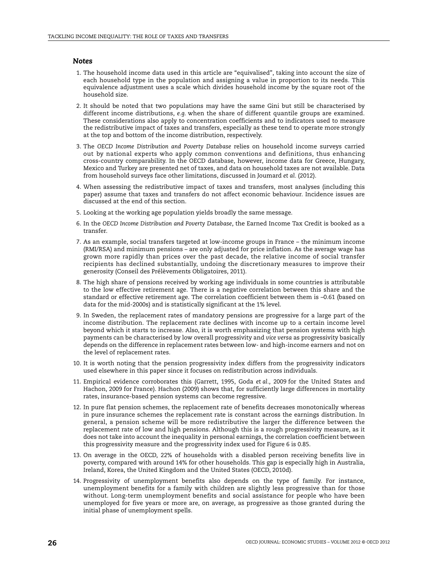#### *Notes*

- 1. The household income data used in this article are "equivalised", taking into account the size of each household type in the population and assigning a value in proportion to its needs. This equivalence adjustment uses a scale which divides household income by the square root of the household size.
- 2. It should be noted that two populations may have the same Gini but still be characterised by different income distributions, *e.g.* when the share of different quantile groups are examined. These considerations also apply to concentration coefficients and to indicators used to measure the redistributive impact of taxes and transfers, especially as these tend to operate more strongly at the top and bottom of the income distribution, respectively.
- 3. The *OECD Income Distribution and Poverty Database* relies on household income surveys carried out by national experts who apply common conventions and definitions, thus enhancing cross-country comparability. In the OECD database, however, income data for Greece, Hungary, Mexico and Turkey are presented net of taxes, and data on household taxes are not available. Data from household surveys face other limitations, discussed in Joumard *et al.* (2012).
- 4. When assessing the redistributive impact of taxes and transfers, most analyses (including this paper) assume that taxes and transfers do not affect economic behaviour. Incidence issues are discussed at the end of this section.
- 5. Looking at the working age population yields broadly the same message.
- 6. In the *OECD Income Distribution and Poverty Database*, the Earned Income Tax Credit is booked as a transfer.
- 7. As an example, social transfers targeted at low-income groups in France the minimum income (RMI/RSA) and minimum pensions – are only adjusted for price inflation. As the average wage has grown more rapidly than prices over the past decade, the relative income of social transfer recipients has declined substantially, undoing the discretionary measures to improve their generosity (Conseil des Prélèvements Obligatoires, 2011).
- 8. The high share of pensions received by working age individuals in some countries is attributable to the low effective retirement age. There is a negative correlation between this share and the standard or effective retirement age. The correlation coefficient between them is –0.61 (based on data for the mid-2000s) and is statistically significant at the 1% level.
- 9. In Sweden, the replacement rates of mandatory pensions are progressive for a large part of the income distribution. The replacement rate declines with income up to a certain income level beyond which it starts to increase. Also, it is worth emphasizing that pension systems with high payments can be characterised by low overall progressivity and *vice versa* as progressivity basically depends on the difference in replacement rates between low- and high-income earners and not on the level of replacement rates.
- 10. It is worth noting that the pension progressivity index differs from the progressivity indicators used elsewhere in this paper since it focuses on redistribution across individuals.
- 11. Empirical evidence corroborates this (Garrett, 1995, Goda *et al.,* 2009 for the United States and Hachon, 2009 for France). Hachon (2009) shows that, for sufficiently large differences in mortality rates, insurance-based pension systems can become regressive.
- 12. In pure flat pension schemes, the replacement rate of benefits decreases monotonically whereas in pure insurance schemes the replacement rate is constant across the earnings distribution. In general, a pension scheme will be more redistributive the larger the difference between the replacement rate of low and high pensions. Although this is a rough progressivity measure, as it does not take into account the inequality in personal earnings, the correlation coefficient between this progressivity measure and the progressivity index used for Figure 6 is 0.85.
- 13. On average in the OECD, 22% of households with a disabled person receiving benefits live in poverty, compared with around 14% for other households. This gap is especially high in Australia, Ireland, Korea, the United Kingdom and the United States (OECD, 2010d).
- 14. Progressivity of unemployment benefits also depends on the type of family. For instance, unemployment benefits for a family with children are slightly less progressive than for those without. Long-term unemployment benefits and social assistance for people who have been unemployed for five years or more are, on average, as progressive as those granted during the initial phase of unemployment spells.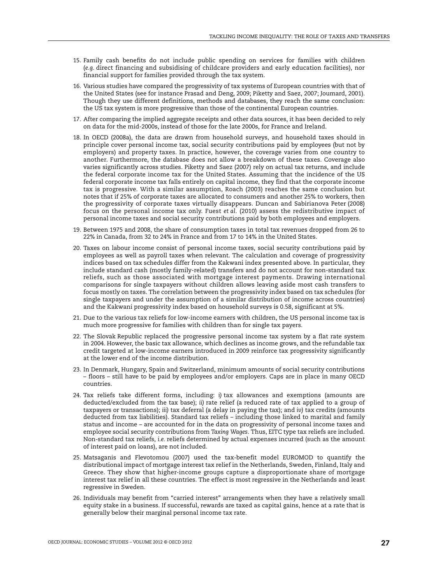- 15. Family cash benefits do not include public spending on services for families with children (*e.g.* direct financing and subsidising of childcare providers and early education facilities), nor financial support for families provided through the tax system.
- 16. Various studies have compared the progressivity of tax systems of European countries with that of the United States (see for instance Prasad and Deng, 2009; Piketty and Saez, 2007; Joumard, 2001). Though they use different definitions, methods and databases, they reach the same conclusion: the US tax system is more progressive than those of the continental European countries.
- 17. After comparing the implied aggregate receipts and other data sources, it has been decided to rely on data for the mid-2000s, instead of those for the late 2000s, for France and Ireland.
- 18. In OECD (2008a), the data are drawn from household surveys, and household taxes should in principle cover personal income tax, social security contributions paid by employees (but not by employers) and property taxes. In practice, however, the coverage varies from one country to another. Furthermore, the database does not allow a breakdown of these taxes. Coverage also varies significantly across studies. Piketty and Saez (2007) rely on actual tax returns, and include the federal corporate income tax for the United States. Assuming that the incidence of the US federal corporate income tax falls entirely on capital income, they find that the corporate income tax is progressive. With a similar assumption, Roach (2003) reaches the same conclusion but notes that if 25% of corporate taxes are allocated to consumers and another 25% to workers, then the progressivity of corporate taxes virtually disappears. Duncan and Sabirianova Peter (2008) focus on the personal income tax only. Fuest *et al.* (2010) assess the redistributive impact of personal income taxes and social security contributions paid by both employees and employers.
- 19. Between 1975 and 2008, the share of consumption taxes in total tax revenues dropped from 26 to 22% in Canada, from 32 to 24% in France and from 17 to 14% in the United States.
- 20. Taxes on labour income consist of personal income taxes, social security contributions paid by employees as well as payroll taxes when relevant. The calculation and coverage of progressivity indices based on tax schedules differ from the Kakwani index presented above. In particular, they include standard cash (mostly family-related) transfers and do not account for non-standard tax reliefs, such as those associated with mortgage interest payments. Drawing international comparisons for single taxpayers without children allows leaving aside most cash transfers to focus mostly on taxes. The correlation between the progressivity index based on tax schedules (for single taxpayers and under the assumption of a similar distribution of income across countries) and the Kakwani progressivity index based on household surveys is 0.58, significant at 5%.
- 21. Due to the various tax reliefs for low-income earners with children, the US personal income tax is much more progressive for families with children than for single tax payers.
- 22. The Slovak Republic replaced the progressive personal income tax system by a flat rate system in 2004. However, the basic tax allowance, which declines as income grows, and the refundable tax credit targeted at low-income earners introduced in 2009 reinforce tax progressivity significantly at the lower end of the income distribution.
- 23. In Denmark, Hungary, Spain and Switzerland, minimum amounts of social security contributions – floors – still have to be paid by employees and/or employers. Caps are in place in many OECD countries.
- 24. Tax reliefs take different forms, including: *i)* tax allowances and exemptions (amounts are deducted/excluded from the tax base); *ii)* rate relief (a reduced rate of tax applied to a group of taxpayers or transactions); *iii)* tax deferral (a delay in paying the tax); and *iv)* tax credits (amounts deducted from tax liabilities). Standard tax reliefs – including those linked to marital and family status and income – are accounted for in the data on progressivity of personal income taxes and employee social security contributions from *Taxing Wages*. Thus, EITC type tax reliefs are included. Non-standard tax reliefs, *i.e.* reliefs determined by actual expenses incurred (such as the amount of interest paid on loans), are not included.
- 25. Matsaganis and Flevotomou (2007) used the tax-benefit model EUROMOD to quantify the distributional impact of mortgage interest tax relief in the Netherlands, Sweden, Finland, Italy and Greece. They show that higher-income groups capture a disproportionate share of mortgage interest tax relief in all these countries. The effect is most regressive in the Netherlands and least regressive in Sweden.
- 26. Individuals may benefit from "carried interest" arrangements when they have a relatively small equity stake in a business. If successful, rewards are taxed as capital gains, hence at a rate that is generally below their marginal personal income tax rate.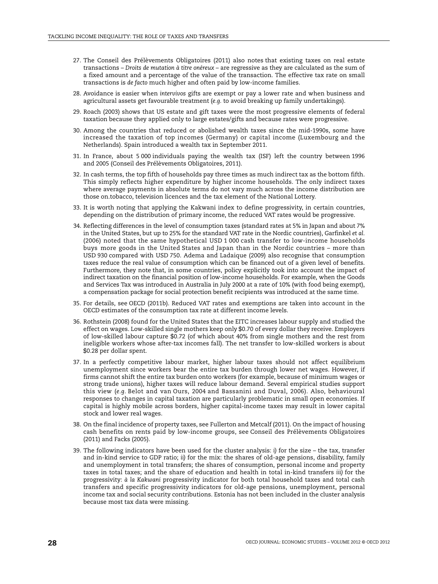- 27. The Conseil des Prélèvements Obligatoires (2011) also notes that existing taxes on real estate transactions – *Droits de mutation à titre onéreux* – are regressive as they are calculated as the sum of a fixed amount and a percentage of the value of the transaction. The effective tax rate on small transactions is *de facto* much higher and often paid by low-income families.
- 28. Avoidance is easier when *intervivos* gifts are exempt or pay a lower rate and when business and agricultural assets get favourable treatment (*e.g.* to avoid breaking up family undertakings).
- 29. Roach (2003) shows that US estate and gift taxes were the most progressive elements of federal taxation because they applied only to large estates/gifts and because rates were progressive.
- 30. Among the countries that reduced or abolished wealth taxes since the mid-1990s, some have increased the taxation of top incomes (Germany) or capital income (Luxembourg and the Netherlands). Spain introduced a wealth tax in September 2011.
- 31. In France, about 5 000 individuals paying the wealth tax (ISF) left the country between 1996 and 2005 (Conseil des Prélèvements Obligatoires, 2011).
- 32. In cash terms, the top fifth of households pay three times as much indirect tax as the bottom fifth. This simply reflects higher expenditure by higher income households. The only indirect taxes where average payments in absolute terms do not vary much across the income distribution are those on.tobacco, television licences and the tax element of the National Lottery.
- 33. It is worth noting that applying the Kakwani index to define progressivity, in certain countries, depending on the distribution of primary income, the reduced VAT rates would be progressive.
- 34. Reflecting differences in the level of consumption taxes (standard rates at 5% in Japan and about 7% in the United States, but up to 25% for the standard VAT rate in the Nordic countries), Garfinkel *et al.* (2006) noted that the same hypothetical USD 1 000 cash transfer to low-income households buys more goods in the United States and Japan than in the Nordic countries – more than USD 930 compared with USD 750. Adema and Ladaique (2009) also recognise that consumption taxes reduce the real value of consumption which can be financed out of a given level of benefits. Furthermore, they note that, in some countries, policy explicitly took into account the impact of indirect taxation on the financial position of low-income households. For example, when the Goods and Services Tax was introduced in Australia in July 2000 at a rate of 10% (with food being exempt), a compensation package for social protection benefit recipients was introduced at the same time.
- 35. For details, see OECD (2011b). Reduced VAT rates and exemptions are taken into account in the OECD estimates of the consumption tax rate at different income levels.
- 36. Rothstein (2008) found for the United States that the EITC increases labour supply and studied the effect on wages. Low-skilled single mothers keep only \$0.70 of every dollar they receive. Employers of low-skilled labour capture \$0.72 (of which about 40% from single mothers and the rest from ineligible workers whose after-tax incomes fall). The net transfer to low-skilled workers is about \$0.28 per dollar spent.
- 37. In a perfectly competitive labour market, higher labour taxes should not affect equilibrium unemployment since workers bear the entire tax burden through lower net wages. However, if firms cannot shift the entire tax burden onto workers (for example, because of minimum wages or strong trade unions), higher taxes will reduce labour demand. Several empirical studies support this view (*e.g.* Belot and van Ours, 2004 and Bassanini and Duval, 2006). Also, behavioural responses to changes in capital taxation are particularly problematic in small open economies. If capital is highly mobile across borders, higher capital-income taxes may result in lower capital stock and lower real wages.
- 38. On the final incidence of property taxes, see Fullerton and Metcalf (2011). On the impact of housing cash benefits on rents paid by low-income groups, see Conseil des Prélèvements Obligatoires (2011) and Facks (2005).
- 39. The following indicators have been used for the cluster analysis: *i)* for the size the tax, transfer and in-kind service to GDP ratio; *ii)* for the mix: the shares of old-age pensions, disability, family and unemployment in total transfers; the shares of consumption, personal income and property taxes in total taxes; and the share of education and health in total in-kind transfers *iii)* for the progressivity: *à la Kakwani* progressivity indicator for both total household taxes and total cash transfers and specific progressivity indicators for old-age pensions, unemployment, personal income tax and social security contributions. Estonia has not been included in the cluster analysis because most tax data were missing.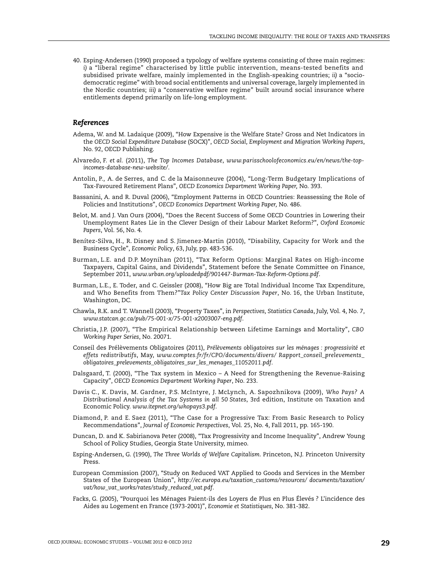<span id="page-30-0"></span>40. Esping-Andersen (1990) proposed a typology of welfare systems consisting of three main regimes: *i)* a "liberal regime" characterised by little public intervention, means-tested benefits and subsidised private welfare, mainly implemented in the English-speaking countries; *ii)* a "sociodemocratic regime" with broad social entitlements and universal coverage, largely implemented in the Nordic countries; *iii)* a "conservative welfare regime" built around social insurance where entitlements depend primarily on life-long employment.

#### *References*

- Adema, W. and M. Ladaique (2009), "How Expensive is the Welfare State? Gross and Net Indicators in the *OECD Social Expenditure Database* (SOCX)", *OECD Social, Employment and Migration Working Papers*, No. 92, OECD Publishing.
- Alvaredo, F. *et al.* (2011), *The Top Incomes Database*, *www.parisschoolofeconomics.eu/en/news/the-topincomes-database-new-website/*.
- Antolin, P., A. de Serres, and C. de la Maisonneuve (2004), "Long-Term Budgetary Implications of Tax-Favoured Retirement Plans", *OECD Economics Department Working Paper,* No. 393.
- Bassanini, A. and R. Duval (2006), "Employment Patterns in OECD Countries: Reassessing the Role of Policies and Institutions", *OECD Economics Department Working Paper,* No. 486.
- Belot, M. and J. Van Ours (2004), "Does the Recent Success of Some OECD Countries in Lowering their Unemployment Rates Lie in the Clever Design of their Labour Market Reform?", *Oxford Economic Papers*, Vol. 56, No. 4.
- Benítez-Silva, H., R. Disney and S. Jimenez-Martin (2010), "Disability, Capacity for Work and the Business Cycle", *Economic Policy*, 63, July, pp. 483-536.
- Burman, L.E. and D.P. Moynihan (2011), "Tax Reform Options: Marginal Rates on High-income Taxpayers, Capital Gains, and Dividends", Statement before the Senate Committee on Finance, September 2011, *www.urban.org/uploadedpdf/901447-Burman-Tax-Reform-Options.pdf*.
- Burman, L.E., E. Toder, and C. Geissler (2008), "How Big are Total Individual Income Tax Expenditure, and Who Benefits from Them?"*Tax Policy Center Discussion Paper*, No. 16, the Urban Institute, Washington, DC.
- Chawla, R.K. and T. Wannell (2003), "Property Taxes", in *Perspectives, Statistics Canada*, July, Vol. 4, No. 7, *www.statcan.gc.ca/pub/75-001-x/75-001-x2003007-eng.pdf*.
- Christia, J.P. (2007), "The Empirical Relationship between Lifetime Earnings and Mortality", *CBO Working Paper Series*, No. 20071.
- Conseil des Prélèvements Obligatoires (2011), *Prélèvements obligatoires sur les ménages : progressivité et effets redistributifs*, May, *www.comptes.fr/fr/CPO/documents/divers/ Rapport\_conseil\_prelevements\_ obligatoires\_prelevements\_obligatoires\_sur\_les\_menages\_11052011.pdf*.
- Dalsgaard, T. (2000), "The Tax system in Mexico A Need for Strengthening the Revenue-Raising Capacity", *OECD Economics Department Working Paper*, No. 233.
- Davis C., K. Davis, M. Gardner, P.S. McIntyre, J. McLynch, A. Sapozhnikova (2009), *Who Pays? A Distributional Analysis of the Tax Systems in all 50 States*, 3rd edition, Institute on Taxation and Economic Policy. *www.itepnet.org/whopays3.pdf*.
- Diamond, P. and E. Saez (2011), "The Case for a Progressive Tax: From Basic Research to Policy Recommendations", *Journal of Economic Perspectives*, Vol. 25, No. 4, Fall 2011, pp. 165-190.
- Duncan, D. and K. Sabirianova Peter (2008), "Tax Progressivity and Income Inequality", Andrew Young School of Policy Studies, Georgia State University, mimeo.
- Esping-Andersen, G. (1990), *The Three Worlds of Welfare Capitalism*. Princeton, N.J. Princeton University Press.
- European Commission (2007), "Study on Reduced VAT Applied to Goods and Services in the Member States of the European Union", *http://ec.europa.eu/taxation\_customs/resources/ documents/taxation/ vat/how\_vat\_works/rates/study\_reduced\_vat.pdf*.
- Facks, G. (2005), "Pourquoi les Ménages Paient-ils des Loyers de Plus en Plus Élevés ? L'incidence des Aides au Logement en France (1973-2001)", *Economie et Statistiques,* No. 381-382.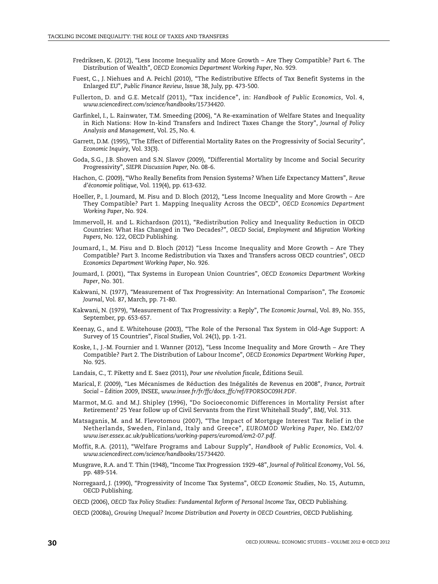- Fredriksen, K. (2012), "Less Income Inequality and More Growth Are They Compatible? Part 6. The Distribution of Wealth", *OECD Economics Department Working Paper*, No. 929.
- Fuest, C., J. Niehues and A. Peichl (2010), "The Redistributive Effects of Tax Benefit Systems in the Enlarged EU", *Public Finance Review*, Issue 38, July, pp. 473-500.
- Fullerton, D. and G.E. Metcalf (2011), "Tax incidence", in: *Handbook of Public Economics*, Vol. 4, *www.sciencedirect.com/science/handbooks/15734420*.
- Garfinkel, I., L. Rainwater, T.M. Smeeding (2006), "A Re-examination of Welfare States and Inequality in Rich Nations: How In-kind Transfers and Indirect Taxes Change the Story", *Journal of Policy Analysis and Management*, Vol. 25, No. 4.
- Garrett, D.M. (1995), "The Effect of Differential Mortality Rates on the Progressivity of Social Security", *Economic Inquiry*, Vol. 33(3).
- Goda, S.G., J.B. Shoven and S.N. Slavov (2009), "Differential Mortality by Income and Social Security Progressivity", *SIEPR Discussion Paper,* No. 08-6.
- Hachon, C. (2009), "Who Really Benefits from Pension Systems? When Life Expectancy Matters", *Revue d'économie politique*, Vol. 119(4), pp. 613-632.
- Hoeller, P., I. Joumard, M. Pisu and D. Bloch (2012), "Less Income Inequality and More Growth Are They Compatible? Part 1. Mapping Inequality Across the OECD", *OECD Economics Department Working Paper*, No. 924*.*
- Immervoll, H. and L. Richardson (2011), "Redistribution Policy and Inequality Reduction in OECD Countries: What Has Changed in Two Decades?", *OECD Social, Employment and Migration Working Papers*, No. 122, OECD Publishing.
- Joumard, I., M. Pisu and D. Bloch (2012) "Less Income Inequality and More Growth Are They Compatible? Part 3. Income Redistribution via Taxes and Transfers across OECD countries", *OECD Economics Department Working Paper*, No. 926*.*
- Joumard, I. (2001), "Tax Systems in European Union Countries", *OECD Economics Department Working Paper*, No. 301.
- Kakwani, N. (1977), "Measurement of Tax Progressivity: An International Comparison", *The Economic Journal*, Vol. 87, March, pp. 71-80.
- Kakwani, N. (1979), "Measurement of Tax Progressivity: a Reply", *The Economic Journal*, Vol. 89, No. 355, September, pp. 653-657.
- Keenay, G., and E. Whitehouse (2003), "The Role of the Personal Tax System in Old-Age Support: A Survey of 15 Countries", *Fiscal Studies*, Vol. 24(1), pp. 1-21.
- Koske, I., J.-M. Fournier and I. Wanner (2012), "Less Income Inequality and More Growth Are They Compatible? Part 2. The Distribution of Labour Income", *OECD Economics Department Working Paper*, No. 925.
- Landais, C., T. Piketty and E. Saez (2011), *Pour une révolution fiscale*, Éditions Seuil.
- Marical, F. (2009), "Les Mécanismes de Réduction des Inégalités de Revenus en 2008", *France, Portrait Social – Édition 2009*, INSEE, *www.insee.fr/fr/ffc/docs\_ffc/ref/FPORSOC09H.PDF*.
- Marmot, M.G. and M.J. Shipley (1996), "Do Socioeconomic Differences in Mortality Persist after Retirement? 25 Year follow up of Civil Servants from the First Whitehall Study", *BMJ,* Vol. 313.
- Matsaganis, M. and M. Flevotomou (2007), "The Impact of Mortgage Interest Tax Relief in the Netherlands, Sweden, Finland, Italy and Greece", *EUROMOD Working Paper,* No. EM2/07 *www.iser.essex.ac.uk/publications/working-papers/euromod/em2-07.pdf*.
- Moffit, R.A. (2011), "Welfare Programs and Labour Supply", *Handbook of Public Economics*, Vol. 4. *www.sciencedirect.com/science/handbooks/15734420*.
- Musgrave, R.A. and T. Thin (1948), "Income Tax Progression 1929-48", *Journal of Political Economy*, Vol. 56, pp. 489-514.
- Norregaard, J. (1990), "Progressivity of Income Tax Systems", *OECD Economic Studies*, No. 15, Autumn, OECD Publishing.
- OECD (2006), *OECD Tax Policy Studies: Fundamental Reform of Personal Income Tax*, OECD Publishing.
- OECD (2008a), *Growing Unequal? Income Distribution and Poverty in OECD Countries*, OECD Publishing.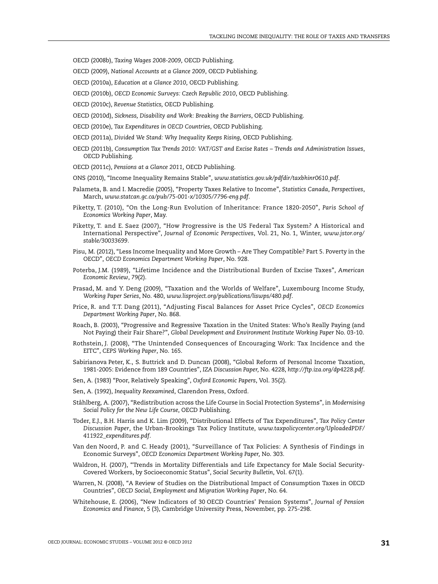OECD (2008b), *Taxing Wages 2008-2009,* OECD Publishing.

OECD (2009), *National Accounts at a Glance 2009*, OECD Publishing.

OECD (2010a), *Education at a Glance 2010,* OECD Publishing*.*

- OECD (2010b), *OECD Economic Surveys: Czech Republic 2010*, OECD Publishing.
- OECD (2010c), *Revenue Statistics,* OECD Publishing.
- OECD (2010d), *Sickness, Disability and Work: Breaking the Barriers*, OECD Publishing.
- OECD (2010e), *Tax Expenditures in OECD Countries*, OECD Publishing.
- OECD (2011a), *Divided We Stand: Why Inequality Keeps Rising,* OECD Publishing.
- OECD (2011b), *Consumption Tax Trends 2010: VAT/GST and Excise Rates Trends and Administration Issues*, OECD Publishing.
- OECD (2011c), *Pensions at a Glance 2011,* OECD Publishing.
- ONS (2010), "Income Inequality Remains Stable", *www.statistics.gov.uk/pdfdir/taxbhinr0610.pdf*.
- Palameta, B. and I. Macredie (2005), "Property Taxes Relative to Income", *Statistics Canada*, *Perspectives*, March, *www.statcan.gc.ca/pub/75-001-x/10305/7796-eng.pdf*.
- Piketty, T. (2010), "On the Long-Run Evolution of Inheritance: France 1820-2050", *Paris School of Economics Working Paper*, May.
- Piketty, T. and E. Saez (2007), "How Progressive is the US Federal Tax System? A Historical and International Perspective", *Journal of Economic Perspectives*, Vol. 21, No. 1, Winter, *www.jstor.org/ stable/30033699*.
- Pisu, M. (2012), "Less Income Inequality and More Growth Are They Compatible? Part 5. Poverty in the OECD", *OECD Economics Department Working Paper*, No. 928*.*
- Poterba, J.M. (1989), "Lifetime Incidence and the Distributional Burden of Excise Taxes", *American Economic Review*, 79(2).
- Prasad, M. and Y. Deng (2009), "Taxation and the Worlds of Welfare", Luxembourg Income Study, *Working Paper Series*, No. 480, *www.lisproject.org/publications/liswps/480.pdf*.
- Price, R. and T.T. Dang (2011), "Adjusting Fiscal Balances for Asset Price Cycles", *OECD Economics Department Working Paper*, No. 868.
- Roach, B. (2003), "Progressive and Regressive Taxation in the United States: Who's Really Paying (and Not Paying) their Fair Share?", *Global Development and Environment Institute Working Paper* No. 03-10.
- Rothstein, J. (2008), "The Unintended Consequences of Encouraging Work: Tax Incidence and the EITC", *CEPS Working Paper*, No. 165.
- Sabirianova Peter, K., S. Buttrick and D. Duncan (2008), "Global Reform of Personal Income Taxation, 1981-2005: Evidence from 189 Countries", *IZA Discussion Paper,* No. 4228, *http://ftp.iza.org/dp4228.pdf*.
- Sen, A. (1983) "Poor, Relatively Speaking", *Oxford Economic Papers*, Vol. 35(2).
- Sen, A. (1992), *Inequality Reexamined*, Clarendon Press, Oxford.
- Ståhlberg, A. (2007), "Redistribution across the Life Course in Social Protection Systems", in *Modernising Social Policy for the New Life Course*, OECD Publishing.
- Toder, E.J., B.H. Harris and K. Lim (2009), "Distributional Effects of Tax Expenditures", *Tax Policy Center Discussion Paper*, the Urban-Brookings Tax Policy Institute, *www.taxpolicycenter.org/UploadedPDF/ 411922\_expenditures.pdf*.
- Van den Noord, P. and C. Heady (2001), "Surveillance of Tax Policies: A Synthesis of Findings in Economic Surveys", *OECD Economics Department Working Paper,* No. 303.
- Waldron, H. (2007), "Trends in Mortality Differentials and Life Expectancy for Male Social Security-Covered Workers, by Socioeconomic Status", *Social Security Bulletin*, Vol. 67(1).
- Warren, N. (2008), "A Review of Studies on the Distributional Impact of Consumption Taxes in OECD Countries", *OECD Social, Employment and Migration Working Paper*, No. 64.
- Whitehouse, E. (2006), "New Indicators of 30 OECD Countries' Pension Systems", *Journal of Pension Economics and Finance*, 5 (3), Cambridge University Press, November, pp. 275-298.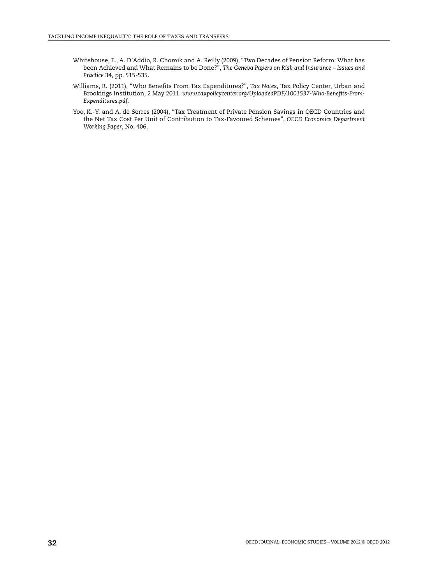- Whitehouse, E., A. D'Addio, R. Chomik and A. Reilly (2009), "Two Decades of Pension Reform: What has been Achieved and What Remains to be Done?", *The Geneva Papers on Risk and Insurance* – *Issues and Practice* 34, pp. 515-535.
- Williams, R. (2011), "Who Benefits From Tax Expenditures?", *Tax Notes*, Tax Policy Center, Urban and Brookings Institution, 2 May 2011. *www.taxpolicycenter.org/UploadedPDF/1001537-Who-Benefits-From-Expenditures.pdf*.
- Yoo, K.-Y. and A. de Serres (2004), "Tax Treatment of Private Pension Savings in OECD Countries and the Net Tax Cost Per Unit of Contribution to Tax-Favoured Schemes", *OECD Economics Department Working Paper*, No. 406.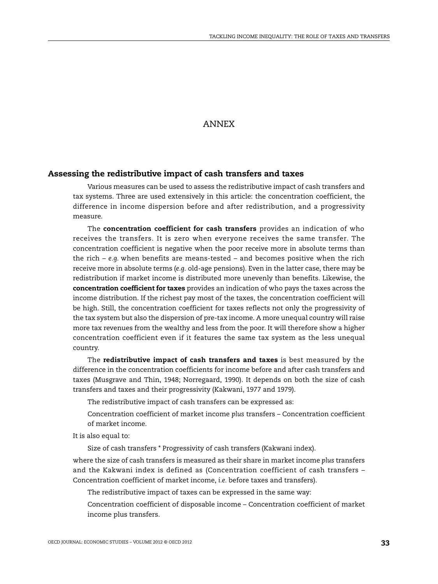# ANNEX

## **Assessing the redistributive impact of cash transfers and taxes**

Various measures can be used to assess the redistributive impact of cash transfers and tax systems. Three are used extensively in this article: the concentration coefficient, the difference in income dispersion before and after redistribution, and a progressivity measure.

The **concentration coefficient for cash transfers** provides an indication of who receives the transfers. It is zero when everyone receives the same transfer. The concentration coefficient is negative when the poor receive more in absolute terms than the rich – *e.g.* when benefits are means-tested – and becomes positive when the rich receive more in absolute terms (*e.g.* old-age pensions). Even in the latter case, there may be redistribution if market income is distributed more unevenly than benefits. Likewise, the **concentration coefficient for taxes** provides an indication of who pays the taxes across the income distribution. If the richest pay most of the taxes, the concentration coefficient will be high. Still, the concentration coefficient for taxes reflects not only the progressivity of the tax system but also the dispersion of pre-tax income. A more unequal country will raise more tax revenues from the wealthy and less from the poor. It will therefore show a higher concentration coefficient even if it features the same tax system as the less unequal country.

The **redistributive impact of cash transfers and taxes** is best measured by the difference in the concentration coefficients for income before and after cash transfers and taxes (Musgrave and Thin, 1948; Norregaard, 1990). It depends on both the size of cash transfers and taxes and their progressivity (Kakwani, 1977 and 1979).

The redistributive impact of cash transfers can be expressed as:

Concentration coefficient of market income *plus* transfers – Concentration coefficient of market income.

It is also equal to:

Size of cash transfers \* Progressivity of cash transfers (Kakwani index).

where the size of cash transfers is measured as their share in market income *plus* transfers and the Kakwani index is defined as (Concentration coefficient of cash transfers – Concentration coefficient of market income, *i.e.* before taxes and transfers).

The redistributive impact of taxes can be expressed in the same way:

Concentration coefficient of disposable income – Concentration coefficient of market income plus transfers.